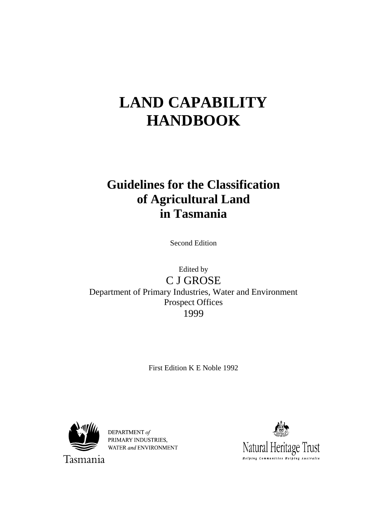# **LAND CAPABILITY HANDBOOK**

## **Guidelines for the Classification of Agricultural Land in Tasmania**

Second Edition

Edited by C J GROSE Department of Primary Industries, Water and Environment Prospect Offices 1999

First Edition K E Noble 1992



DEPARTMENT of PRIMARY INDUSTRIES. WATER and ENVIRONMENT



Tasmania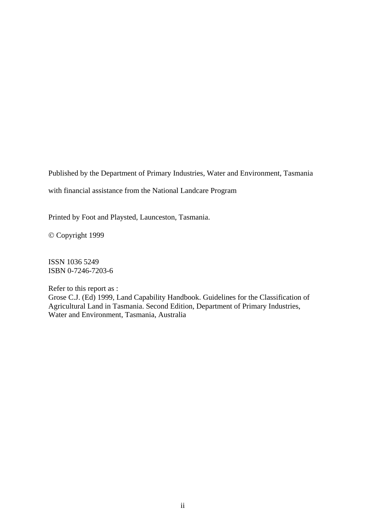Published by the Department of Primary Industries, Water and Environment, Tasmania

with financial assistance from the National Landcare Program

Printed by Foot and Playsted, Launceston, Tasmania.

© Copyright 1999

ISSN 1036 5249 ISBN 0-7246-7203-6

Refer to this report as : Grose C.J. (Ed) 1999, Land Capability Handbook. Guidelines for the Classification of Agricultural Land in Tasmania. Second Edition, Department of Primary Industries, Water and Environment, Tasmania, Australia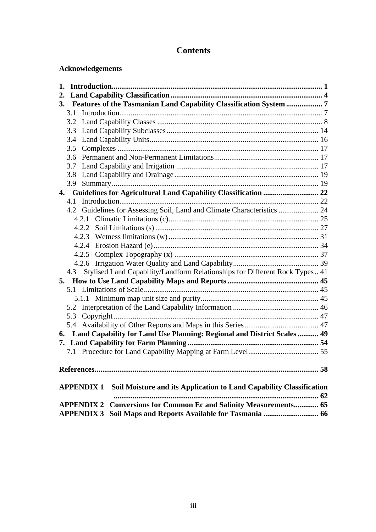## **Contents**

## **Acknowledgements**

| 1.                                                                                       |  |
|------------------------------------------------------------------------------------------|--|
| 2.                                                                                       |  |
| 3. Features of the Tasmanian Land Capability Classification System  7                    |  |
| 3.1                                                                                      |  |
| 3.2                                                                                      |  |
| 3.3                                                                                      |  |
| 3.4                                                                                      |  |
| 3.5                                                                                      |  |
| 3.6                                                                                      |  |
| 3.7                                                                                      |  |
| 3.8                                                                                      |  |
|                                                                                          |  |
|                                                                                          |  |
|                                                                                          |  |
| 4.2 Guidelines for Assessing Soil, Land and Climate Characteristics  24                  |  |
|                                                                                          |  |
|                                                                                          |  |
|                                                                                          |  |
|                                                                                          |  |
|                                                                                          |  |
|                                                                                          |  |
| 4.3 Stylised Land Capability/Landform Relationships for Different Rock Types 41          |  |
|                                                                                          |  |
|                                                                                          |  |
|                                                                                          |  |
|                                                                                          |  |
|                                                                                          |  |
| 5.4                                                                                      |  |
| 6. Land Capability for Land Use Planning: Regional and District Scales  49               |  |
|                                                                                          |  |
|                                                                                          |  |
|                                                                                          |  |
| Soil Moisture and its Application to Land Capability Classification<br><b>APPENDIX 1</b> |  |
|                                                                                          |  |
| <b>Conversions for Common Ec and Salinity Measurements 65</b><br><b>APPENDIX 2</b>       |  |
| <b>APPENDIX 3</b>                                                                        |  |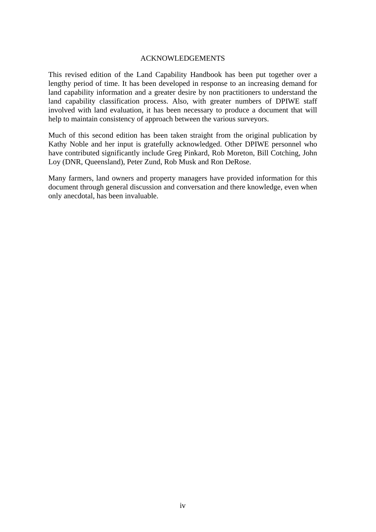#### ACKNOWLEDGEMENTS

This revised edition of the Land Capability Handbook has been put together over a lengthy period of time. It has been developed in response to an increasing demand for land capability information and a greater desire by non practitioners to understand the land capability classification process. Also, with greater numbers of DPIWE staff involved with land evaluation, it has been necessary to produce a document that will help to maintain consistency of approach between the various surveyors.

Much of this second edition has been taken straight from the original publication by Kathy Noble and her input is gratefully acknowledged. Other DPIWE personnel who have contributed significantly include Greg Pinkard, Rob Moreton, Bill Cotching, John Loy (DNR, Queensland), Peter Zund, Rob Musk and Ron DeRose.

Many farmers, land owners and property managers have provided information for this document through general discussion and conversation and there knowledge, even when only anecdotal, has been invaluable.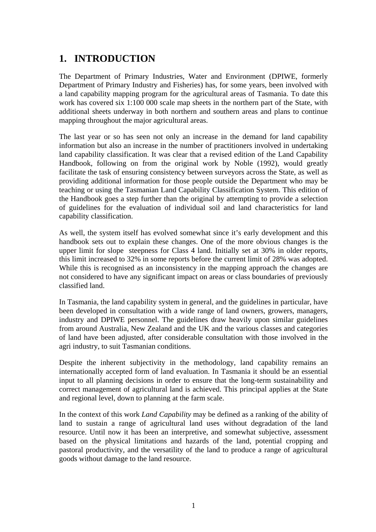## **1. INTRODUCTION**

The Department of Primary Industries, Water and Environment (DPIWE, formerly Department of Primary Industry and Fisheries) has, for some years, been involved with a land capability mapping program for the agricultural areas of Tasmania. To date this work has covered six 1:100 000 scale map sheets in the northern part of the State, with additional sheets underway in both northern and southern areas and plans to continue mapping throughout the major agricultural areas.

The last year or so has seen not only an increase in the demand for land capability information but also an increase in the number of practitioners involved in undertaking land capability classification. It was clear that a revised edition of the Land Capability Handbook, following on from the original work by Noble (1992), would greatly facilitate the task of ensuring consistency between surveyors across the State, as well as providing additional information for those people outside the Department who may be teaching or using the Tasmanian Land Capability Classification System. This edition of the Handbook goes a step further than the original by attempting to provide a selection of guidelines for the evaluation of individual soil and land characteristics for land capability classification.

As well, the system itself has evolved somewhat since it's early development and this handbook sets out to explain these changes. One of the more obvious changes is the upper limit for slope steepness for Class 4 land. Initially set at 30% in older reports, this limit increased to 32% in some reports before the current limit of 28% was adopted. While this is recognised as an inconsistency in the mapping approach the changes are not considered to have any significant impact on areas or class boundaries of previously classified land.

In Tasmania, the land capability system in general, and the guidelines in particular, have been developed in consultation with a wide range of land owners, growers, managers, industry and DPIWE personnel. The guidelines draw heavily upon similar guidelines from around Australia, New Zealand and the UK and the various classes and categories of land have been adjusted, after considerable consultation with those involved in the agri industry, to suit Tasmanian conditions.

Despite the inherent subjectivity in the methodology, land capability remains an internationally accepted form of land evaluation. In Tasmania it should be an essential input to all planning decisions in order to ensure that the long-term sustainability and correct management of agricultural land is achieved. This principal applies at the State and regional level, down to planning at the farm scale.

In the context of this work *Land Capability* may be defined as a ranking of the ability of land to sustain a range of agricultural land uses without degradation of the land resource. Until now it has been an interpretive, and somewhat subjective, assessment based on the physical limitations and hazards of the land, potential cropping and pastoral productivity, and the versatility of the land to produce a range of agricultural goods without damage to the land resource.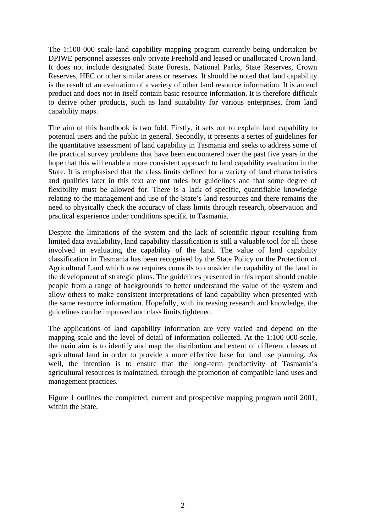The 1:100 000 scale land capability mapping program currently being undertaken by DPIWE personnel assesses only private Freehold and leased or unallocated Crown land. It does not include designated State Forests, National Parks, State Reserves, Crown Reserves, HEC or other similar areas or reserves. It should be noted that land capability is the result of an evaluation of a variety of other land resource information. It is an end product and does not in itself contain basic resource information. It is therefore difficult to derive other products, such as land suitability for various enterprises, from land capability maps.

The aim of this handbook is two fold. Firstly, it sets out to explain land capability to potential users and the public in general. Secondly, it presents a series of guidelines for the quantitative assessment of land capability in Tasmania and seeks to address some of the practical survey problems that have been encountered over the past five years in the hope that this will enable a more consistent approach to land capability evaluation in the State. It is emphasised that the class limits defined for a variety of land characteristics and qualities later in this text are **not** rules but guidelines and that some degree of flexibility must be allowed for. There is a lack of specific, quantifiable knowledge relating to the management and use of the State's land resources and there remains the need to physically check the accuracy of class limits through research, observation and practical experience under conditions specific to Tasmania.

Despite the limitations of the system and the lack of scientific rigour resulting from limited data availability, land capability classification is still a valuable tool for all those involved in evaluating the capability of the land. The value of land capability classification in Tasmania has been recognised by the State Policy on the Protection of Agricultural Land which now requires councils to consider the capability of the land in the development of strategic plans. The guidelines presented in this report should enable people from a range of backgrounds to better understand the value of the system and allow others to make consistent interpretations of land capability when presented with the same resource information. Hopefully, with increasing research and knowledge, the guidelines can be improved and class limits tightened.

The applications of land capability information are very varied and depend on the mapping scale and the level of detail of information collected. At the 1:100 000 scale, the main aim is to identify and map the distribution and extent of different classes of agricultural land in order to provide a more effective base for land use planning. As well, the intention is to ensure that the long-term productivity of Tasmania's agricultural resources is maintained, through the promotion of compatible land uses and management practices.

Figure 1 outlines the completed, current and prospective mapping program until 2001, within the State.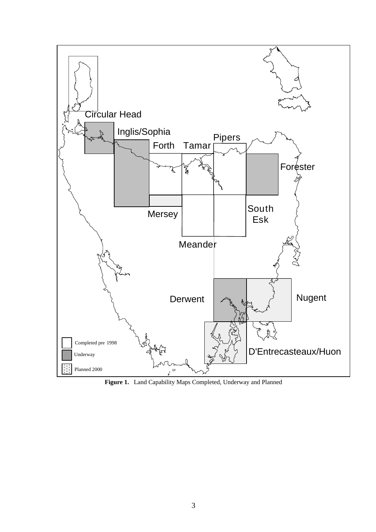

**Figure 1.** Land Capability Maps Completed, Underway and Planned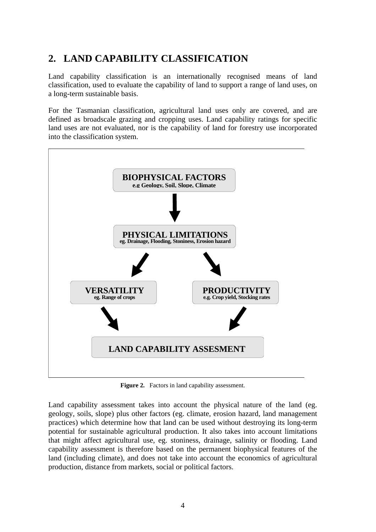## **2. LAND CAPABILITY CLASSIFICATION**

Land capability classification is an internationally recognised means of land classification, used to evaluate the capability of land to support a range of land uses, on a long-term sustainable basis.

For the Tasmanian classification, agricultural land uses only are covered, and are defined as broadscale grazing and cropping uses. Land capability ratings for specific land uses are not evaluated, nor is the capability of land for forestry use incorporated into the classification system.



Figure 2. Factors in land capability assessment.

Land capability assessment takes into account the physical nature of the land (eg. geology, soils, slope) plus other factors (eg. climate, erosion hazard, land management practices) which determine how that land can be used without destroying its long-term potential for sustainable agricultural production. It also takes into account limitations that might affect agricultural use, eg. stoniness, drainage, salinity or flooding. Land capability assessment is therefore based on the permanent biophysical features of the land (including climate), and does not take into account the economics of agricultural production, distance from markets, social or political factors.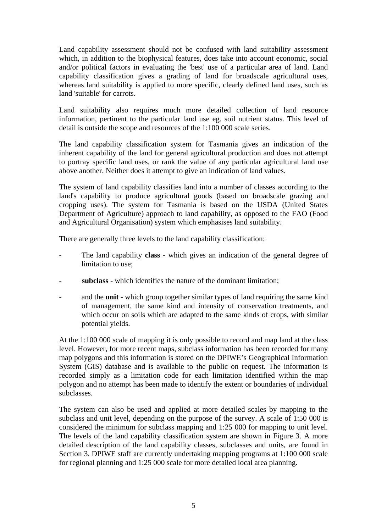Land capability assessment should not be confused with land suitability assessment which, in addition to the biophysical features, does take into account economic, social and/or political factors in evaluating the 'best' use of a particular area of land. Land capability classification gives a grading of land for broadscale agricultural uses, whereas land suitability is applied to more specific, clearly defined land uses, such as land 'suitable' for carrots.

Land suitability also requires much more detailed collection of land resource information, pertinent to the particular land use eg. soil nutrient status. This level of detail is outside the scope and resources of the 1:100 000 scale series.

The land capability classification system for Tasmania gives an indication of the inherent capability of the land for general agricultural production and does not attempt to portray specific land uses, or rank the value of any particular agricultural land use above another. Neither does it attempt to give an indication of land values.

The system of land capability classifies land into a number of classes according to the land's capability to produce agricultural goods (based on broadscale grazing and cropping uses). The system for Tasmania is based on the USDA (United States Department of Agriculture) approach to land capability, as opposed to the FAO (Food and Agricultural Organisation) system which emphasises land suitability.

There are generally three levels to the land capability classification:

- The land capability **class** which gives an indication of the general degree of limitation to use;
- subclass which identifies the nature of the dominant limitation;
- and the **unit** which group together similar types of land requiring the same kind of management, the same kind and intensity of conservation treatments, and which occur on soils which are adapted to the same kinds of crops, with similar potential yields.

At the 1:100 000 scale of mapping it is only possible to record and map land at the class level. However, for more recent maps, subclass information has been recorded for many map polygons and this information is stored on the DPIWE's Geographical Information System (GIS) database and is available to the public on request. The information is recorded simply as a limitation code for each limitation identified within the map polygon and no attempt has been made to identify the extent or boundaries of individual subclasses.

The system can also be used and applied at more detailed scales by mapping to the subclass and unit level, depending on the purpose of the survey. A scale of 1:50 000 is considered the minimum for subclass mapping and 1:25 000 for mapping to unit level. The levels of the land capability classification system are shown in Figure 3. A more detailed description of the land capability classes, subclasses and units, are found in Section 3. DPIWE staff are currently undertaking mapping programs at 1:100 000 scale for regional planning and 1:25 000 scale for more detailed local area planning.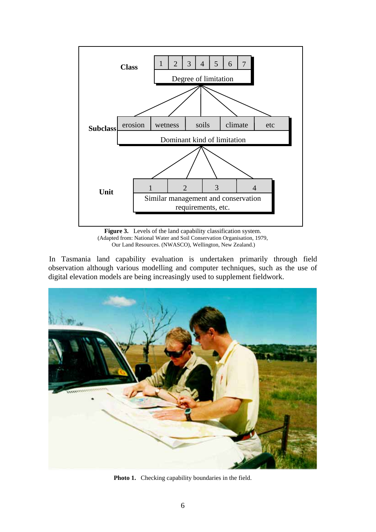

**Figure 3.** Levels of the land capability classification system. (Adapted from: National Water and Soil Conservation Organisation, 1979, Our Land Resources. (NWASCO), Wellington, New Zealand.)

In Tasmania land capability evaluation is undertaken primarily through field observation although various modelling and computer techniques, such as the use of digital elevation models are being increasingly used to supplement fieldwork.



**Photo 1.** Checking capability boundaries in the field.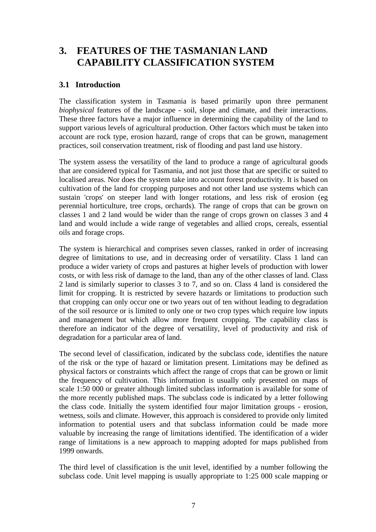## **3. FEATURES OF THE TASMANIAN LAND CAPABILITY CLASSIFICATION SYSTEM**

## **3.1 Introduction**

The classification system in Tasmania is based primarily upon three permanent *biophysical* features of the landscape - soil, slope and climate, and their interactions. These three factors have a major influence in determining the capability of the land to support various levels of agricultural production. Other factors which must be taken into account are rock type, erosion hazard, range of crops that can be grown, management practices, soil conservation treatment, risk of flooding and past land use history.

The system assess the versatility of the land to produce a range of agricultural goods that are considered typical for Tasmania, and not just those that are specific or suited to localised areas. Nor does the system take into account forest productivity. It is based on cultivation of the land for cropping purposes and not other land use systems which can sustain 'crops' on steeper land with longer rotations, and less risk of erosion (eg perennial horticulture, tree crops, orchards). The range of crops that can be grown on classes 1 and 2 land would be wider than the range of crops grown on classes 3 and 4 land and would include a wide range of vegetables and allied crops, cereals, essential oils and forage crops.

The system is hierarchical and comprises seven classes, ranked in order of increasing degree of limitations to use, and in decreasing order of versatility. Class 1 land can produce a wider variety of crops and pastures at higher levels of production with lower costs, or with less risk of damage to the land, than any of the other classes of land. Class 2 land is similarly superior to classes 3 to 7, and so on. Class 4 land is considered the limit for cropping. It is restricted by severe hazards or limitations to production such that cropping can only occur one or two years out of ten without leading to degradation of the soil resource or is limited to only one or two crop types which require low inputs and management but which allow more frequent cropping. The capability class is therefore an indicator of the degree of versatility, level of productivity and risk of degradation for a particular area of land.

The second level of classification, indicated by the subclass code, identifies the nature of the risk or the type of hazard or limitation present. Limitations may be defined as physical factors or constraints which affect the range of crops that can be grown or limit the frequency of cultivation. This information is usually only presented on maps of scale 1:50 000 or greater although limited subclass information is available for some of the more recently published maps. The subclass code is indicated by a letter following the class code. Initially the system identified four major limitation groups - erosion, wetness, soils and climate. However, this approach is considered to provide only limited information to potential users and that subclass information could be made more valuable by increasing the range of limitations identified. The identification of a wider range of limitations is a new approach to mapping adopted for maps published from 1999 onwards.

The third level of classification is the unit level, identified by a number following the subclass code. Unit level mapping is usually appropriate to 1:25 000 scale mapping or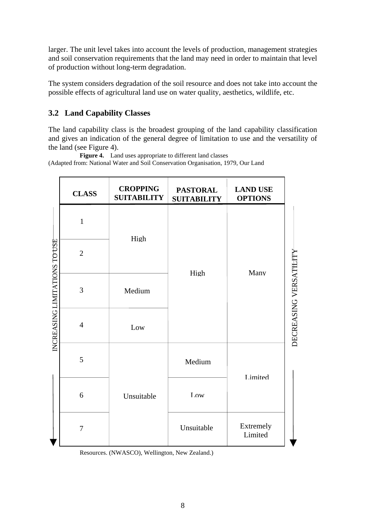larger. The unit level takes into account the levels of production, management strategies and soil conservation requirements that the land may need in order to maintain that level of production without long-term degradation.

The system considers degradation of the soil resource and does not take into account the possible effects of agricultural land use on water quality, aesthetics, wildlife, etc.

## **3.2 Land Capability Classes**

The land capability class is the broadest grouping of the land capability classification and gives an indication of the general degree of limitation to use and the versatility of the land (see Figure 4).

**Figure 4.** Land uses appropriate to different land classes (Adapted from: National Water and Soil Conservation Organisation, 1979, Our Land

|                               | <b>CLASS</b>   | <b>CROPPING</b><br><b>SUITABILITY</b> | <b>PASTORAL</b><br><b>SUITABILITY</b> | <b>LAND USE</b><br><b>OPTIONS</b> |
|-------------------------------|----------------|---------------------------------------|---------------------------------------|-----------------------------------|
|                               | $\mathbf{1}$   |                                       |                                       |                                   |
|                               | $\overline{2}$ | High                                  | High                                  |                                   |
|                               | 3              | Medium                                |                                       | Many                              |
| INCREASING LIMITATIONS TO USE | $\overline{4}$ | Low                                   |                                       |                                   |
|                               | 5              |                                       | Medium                                | Limited                           |
|                               | 6              | Unsuitable                            | Low                                   |                                   |
|                               | 7              |                                       | Unsuitable                            | Extremely<br>Limited              |

Resources. (NWASCO), Wellington, New Zealand.)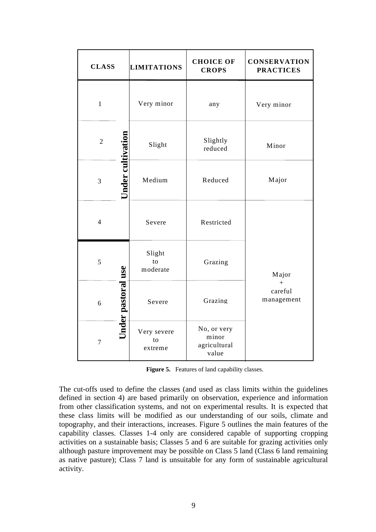| <b>CLASS</b>   |                           | <b>LIMITATIONS</b>           | <b>CHOICE OF</b><br><b>CROPS</b>              | <b>CONSERVATION</b><br><b>PRACTICES</b> |
|----------------|---------------------------|------------------------------|-----------------------------------------------|-----------------------------------------|
| $\mathbf{1}$   |                           | Very minor                   | any                                           | Very minor                              |
| $\overline{2}$ |                           | Slight                       | Slightly<br>reduced                           | Minor                                   |
| $\overline{3}$ | Under cultivation         | Medium                       | Reduced                                       | Major                                   |
| $\overline{4}$ |                           | Severe                       | Restricted                                    |                                         |
| 5              |                           | Slight<br>to<br>moderate     | Grazing                                       | Major                                   |
| 6              | <b>Jnder pastoral use</b> | Severe                       | Grazing                                       | $+$<br>careful<br>management            |
| $\overline{7}$ |                           | Very severe<br>to<br>extreme | No, or very<br>minor<br>agricultural<br>value |                                         |

Figure 5. Features of land capability classes.

The cut-offs used to define the classes (and used as class limits within the guidelines defined in section 4) are based primarily on observation, experience and information from other classification systems, and not on experimental results. It is expected that these class limits will be modified as our understanding of our soils, climate and topography, and their interactions, increases. Figure 5 outlines the main features of the capability classes. Classes 1-4 only are considered capable of supporting cropping activities on a sustainable basis; Classes 5 and 6 are suitable for grazing activities only although pasture improvement may be possible on Class 5 land (Class 6 land remaining as native pasture); Class 7 land is unsuitable for any form of sustainable agricultural activity.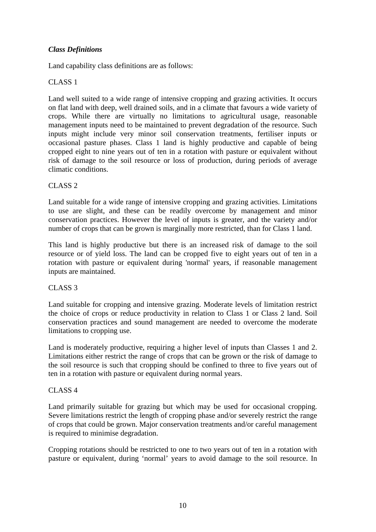### *Class Definitions*

Land capability class definitions are as follows:

### CLASS 1

Land well suited to a wide range of intensive cropping and grazing activities. It occurs on flat land with deep, well drained soils, and in a climate that favours a wide variety of crops. While there are virtually no limitations to agricultural usage, reasonable management inputs need to be maintained to prevent degradation of the resource. Such inputs might include very minor soil conservation treatments, fertiliser inputs or occasional pasture phases. Class 1 land is highly productive and capable of being cropped eight to nine years out of ten in a rotation with pasture or equivalent without risk of damage to the soil resource or loss of production, during periods of average climatic conditions.

### CLASS 2

Land suitable for a wide range of intensive cropping and grazing activities. Limitations to use are slight, and these can be readily overcome by management and minor conservation practices. However the level of inputs is greater, and the variety and/or number of crops that can be grown is marginally more restricted, than for Class 1 land.

This land is highly productive but there is an increased risk of damage to the soil resource or of yield loss. The land can be cropped five to eight years out of ten in a rotation with pasture or equivalent during 'normal' years, if reasonable management inputs are maintained.

### CLASS 3

Land suitable for cropping and intensive grazing. Moderate levels of limitation restrict the choice of crops or reduce productivity in relation to Class 1 or Class 2 land. Soil conservation practices and sound management are needed to overcome the moderate limitations to cropping use.

Land is moderately productive, requiring a higher level of inputs than Classes 1 and 2. Limitations either restrict the range of crops that can be grown or the risk of damage to the soil resource is such that cropping should be confined to three to five years out of ten in a rotation with pasture or equivalent during normal years.

### CLASS 4

Land primarily suitable for grazing but which may be used for occasional cropping. Severe limitations restrict the length of cropping phase and/or severely restrict the range of crops that could be grown. Major conservation treatments and/or careful management is required to minimise degradation.

Cropping rotations should be restricted to one to two years out of ten in a rotation with pasture or equivalent, during 'normal' years to avoid damage to the soil resource. In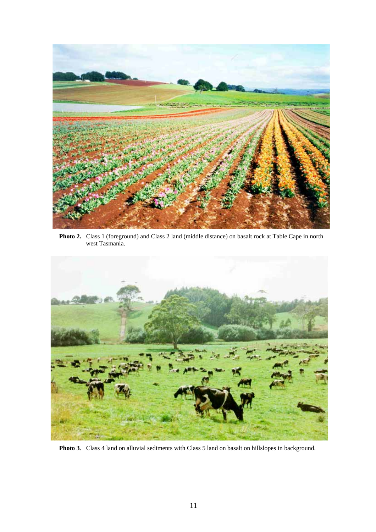

**Photo 2.** Class 1 (foreground) and Class 2 land (middle distance) on basalt rock at Table Cape in north west Tasmania.



**Photo 3**. Class 4 land on alluvial sediments with Class 5 land on basalt on hillslopes in background.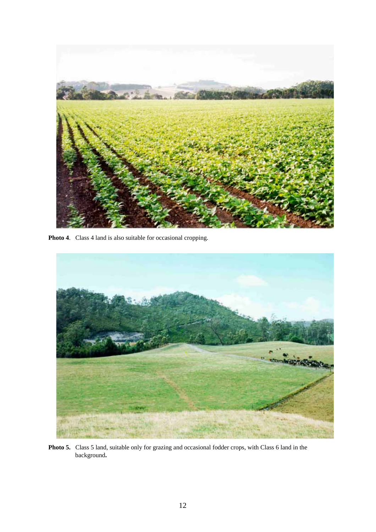

**Photo 4**. Class 4 land is also suitable for occasional cropping.



**Photo 5.** Class 5 land, suitable only for grazing and occasional fodder crops, with Class 6 land in the background**.**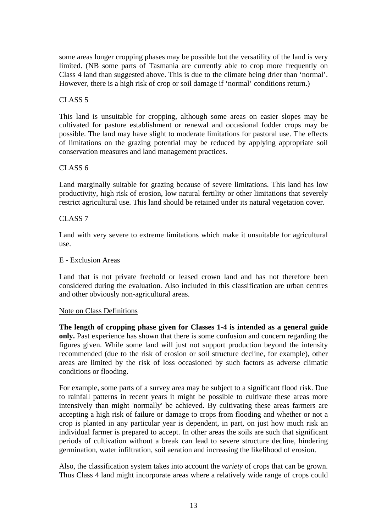some areas longer cropping phases may be possible but the versatility of the land is very limited. (NB some parts of Tasmania are currently able to crop more frequently on Class 4 land than suggested above. This is due to the climate being drier than 'normal'. However, there is a high risk of crop or soil damage if 'normal' conditions return.)

### CLASS<sub>5</sub>

This land is unsuitable for cropping, although some areas on easier slopes may be cultivated for pasture establishment or renewal and occasional fodder crops may be possible. The land may have slight to moderate limitations for pastoral use. The effects of limitations on the grazing potential may be reduced by applying appropriate soil conservation measures and land management practices.

#### CLASS 6

Land marginally suitable for grazing because of severe limitations. This land has low productivity, high risk of erosion, low natural fertility or other limitations that severely restrict agricultural use. This land should be retained under its natural vegetation cover.

#### CLASS 7

Land with very severe to extreme limitations which make it unsuitable for agricultural use.

#### E - Exclusion Areas

Land that is not private freehold or leased crown land and has not therefore been considered during the evaluation. Also included in this classification are urban centres and other obviously non-agricultural areas.

#### Note on Class Definitions

**The length of cropping phase given for Classes 1-4 is intended as a general guide only.** Past experience has shown that there is some confusion and concern regarding the figures given. While some land will just not support production beyond the intensity recommended (due to the risk of erosion or soil structure decline, for example), other areas are limited by the risk of loss occasioned by such factors as adverse climatic conditions or flooding.

For example, some parts of a survey area may be subject to a significant flood risk. Due to rainfall patterns in recent years it might be possible to cultivate these areas more intensively than might 'normally' be achieved. By cultivating these areas farmers are accepting a high risk of failure or damage to crops from flooding and whether or not a crop is planted in any particular year is dependent, in part, on just how much risk an individual farmer is prepared to accept. In other areas the soils are such that significant periods of cultivation without a break can lead to severe structure decline, hindering germination, water infiltration, soil aeration and increasing the likelihood of erosion.

Also, the classification system takes into account the *variety* of crops that can be grown. Thus Class 4 land might incorporate areas where a relatively wide range of crops could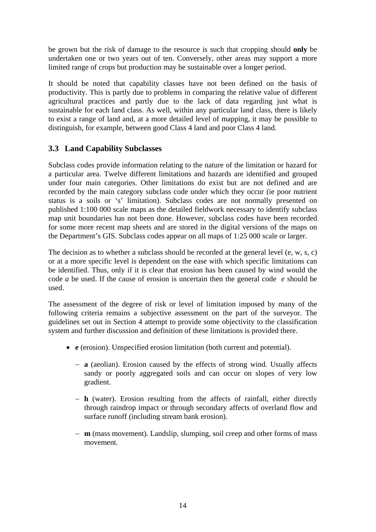be grown but the risk of damage to the resource is such that cropping should **only** be undertaken one or two years out of ten. Conversely, other areas may support a more limited range of crops but production may be sustainable over a longer period.

It should be noted that capability classes have not been defined on the basis of productivity. This is partly due to problems in comparing the relative value of different agricultural practices and partly due to the lack of data regarding just what is sustainable for each land class. As well, within any particular land class, there is likely to exist a range of land and, at a more detailed level of mapping, it may be possible to distinguish, for example, between good Class 4 land and poor Class 4 land.

## **3.3 Land Capability Subclasses**

Subclass codes provide information relating to the nature of the limitation or hazard for a particular area. Twelve different limitations and hazards are identified and grouped under four main categories. Other limitations do exist but are not defined and are recorded by the main category subclass code under which they occur (ie poor nutrient status is a soils or 's' limitation). Subclass codes are not normally presented on published 1:100 000 scale maps as the detailed fieldwork necessary to identify subclass map unit boundaries has not been done. However, subclass codes have been recorded for some more recent map sheets and are stored in the digital versions of the maps on the Department's GIS. Subclass codes appear on all maps of 1:25 000 scale or larger.

The decision as to whether a subclass should be recorded at the general level (e, w, s, c) or at a more specific level is dependent on the ease with which specific limitations can be identified. Thus, only if it is clear that erosion has been caused by wind would the code *a* be used. If the cause of erosion is uncertain then the general code *e* should be used.

The assessment of the degree of risk or level of limitation imposed by many of the following criteria remains a subjective assessment on the part of the surveyor. The guidelines set out in Section 4 attempt to provide some objectivity to the classification system and further discussion and definition of these limitations is provided there.

- **e** (erosion). Unspecified erosion limitation (both current and potential).
	- − **a** (aeolian). Erosion caused by the effects of strong wind. Usually affects sandy or poorly aggregated soils and can occur on slopes of very low gradient.
	- − **h** (water). Erosion resulting from the affects of rainfall, either directly through raindrop impact or through secondary affects of overland flow and surface runoff (including stream bank erosion).
	- − **m** (mass movement). Landslip, slumping, soil creep and other forms of mass movement.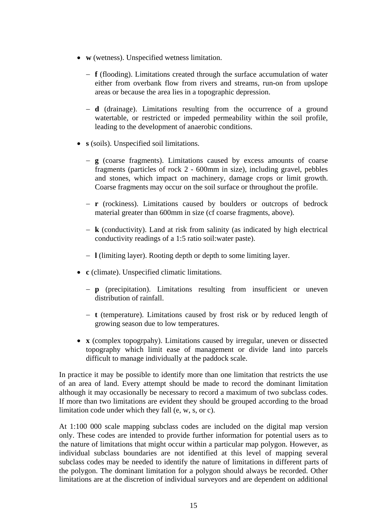- **w** (wetness). Unspecified wetness limitation.
	- − **f** (flooding). Limitations created through the surface accumulation of water either from overbank flow from rivers and streams, run-on from upslope areas or because the area lies in a topographic depression.
	- − **d** (drainage). Limitations resulting from the occurrence of a ground watertable, or restricted or impeded permeability within the soil profile, leading to the development of anaerobic conditions.
- **s** (soils). Unspecified soil limitations.
	- − **g** (coarse fragments). Limitations caused by excess amounts of coarse fragments (particles of rock 2 - 600mm in size), including gravel, pebbles and stones, which impact on machinery, damage crops or limit growth. Coarse fragments may occur on the soil surface or throughout the profile.
	- − **r** (rockiness). Limitations caused by boulders or outcrops of bedrock material greater than 600mm in size (cf coarse fragments, above).
	- − **k** (conductivity). Land at risk from salinity (as indicated by high electrical conductivity readings of a 1:5 ratio soil:water paste).
	- − **l** (limiting layer). Rooting depth or depth to some limiting layer.
- **c** (climate). Unspecified climatic limitations.
	- − **p** (precipitation). Limitations resulting from insufficient or uneven distribution of rainfall.
	- − **t** (temperature). Limitations caused by frost risk or by reduced length of growing season due to low temperatures.
- **x** (complex topogrpahy). Limitations caused by irregular, uneven or dissected topography which limit ease of management or divide land into parcels difficult to manage individually at the paddock scale.

In practice it may be possible to identify more than one limitation that restricts the use of an area of land. Every attempt should be made to record the dominant limitation although it may occasionally be necessary to record a maximum of two subclass codes. If more than two limitations are evident they should be grouped according to the broad limitation code under which they fall (e, w, s, or c).

At 1:100 000 scale mapping subclass codes are included on the digital map version only. These codes are intended to provide further information for potential users as to the nature of limitations that might occur within a particular map polygon. However, as individual subclass boundaries are not identified at this level of mapping several subclass codes may be needed to identify the nature of limitations in different parts of the polygon. The dominant limitation for a polygon should always be recorded. Other limitations are at the discretion of individual surveyors and are dependent on additional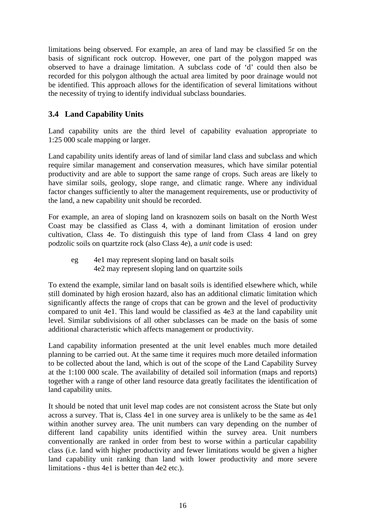limitations being observed. For example, an area of land may be classified 5r on the basis of significant rock outcrop. However, one part of the polygon mapped was observed to have a drainage limitation. A subclass code of 'd' could then also be recorded for this polygon although the actual area limited by poor drainage would not be identified. This approach allows for the identification of several limitations without the necessity of trying to identify individual subclass boundaries.

## **3.4 Land Capability Units**

Land capability units are the third level of capability evaluation appropriate to 1:25 000 scale mapping or larger.

Land capability units identify areas of land of similar land class and subclass and which require similar management and conservation measures, which have similar potential productivity and are able to support the same range of crops. Such areas are likely to have similar soils, geology, slope range, and climatic range. Where any individual factor changes sufficiently to alter the management requirements, use or productivity of the land, a new capability unit should be recorded.

For example, an area of sloping land on krasnozem soils on basalt on the North West Coast may be classified as Class 4, with a dominant limitation of erosion under cultivation, Class 4e. To distinguish this type of land from Class 4 land on grey podzolic soils on quartzite rock (also Class 4e), a *unit* code is used:

eg 4e1 may represent sloping land on basalt soils 4e2 may represent sloping land on quartzite soils

To extend the example, similar land on basalt soils is identified elsewhere which, while still dominated by high erosion hazard, also has an additional climatic limitation which significantly affects the range of crops that can be grown and the level of productivity compared to unit 4e1. This land would be classified as 4e3 at the land capability unit level. Similar subdivisions of all other subclasses can be made on the basis of some additional characteristic which affects management or productivity.

Land capability information presented at the unit level enables much more detailed planning to be carried out. At the same time it requires much more detailed information to be collected about the land, which is out of the scope of the Land Capability Survey at the 1:100 000 scale. The availability of detailed soil information (maps and reports) together with a range of other land resource data greatly facilitates the identification of land capability units.

It should be noted that unit level map codes are not consistent across the State but only across a survey. That is, Class 4e1 in one survey area is unlikely to be the same as 4e1 within another survey area. The unit numbers can vary depending on the number of different land capability units identified within the survey area. Unit numbers conventionally are ranked in order from best to worse within a particular capability class (i.e. land with higher productivity and fewer limitations would be given a higher land capability unit ranking than land with lower productivity and more severe limitations - thus 4e1 is better than 4e2 etc.).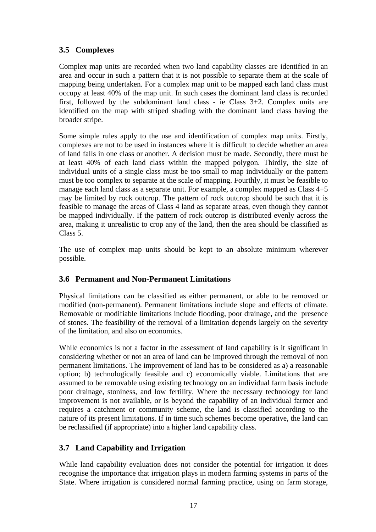## **3.5 Complexes**

Complex map units are recorded when two land capability classes are identified in an area and occur in such a pattern that it is not possible to separate them at the scale of mapping being undertaken. For a complex map unit to be mapped each land class must occupy at least 40% of the map unit. In such cases the dominant land class is recorded first, followed by the subdominant land class - ie Class  $3+2$ . Complex units are identified on the map with striped shading with the dominant land class having the broader stripe.

Some simple rules apply to the use and identification of complex map units. Firstly, complexes are not to be used in instances where it is difficult to decide whether an area of land falls in one class or another. A decision must be made. Secondly, there must be at least 40% of each land class within the mapped polygon. Thirdly, the size of individual units of a single class must be too small to map individually or the pattern must be too complex to separate at the scale of mapping. Fourthly, it must be feasible to manage each land class as a separate unit. For example, a complex mapped as Class 4+5 may be limited by rock outcrop. The pattern of rock outcrop should be such that it is feasible to manage the areas of Class 4 land as separate areas, even though they cannot be mapped individually. If the pattern of rock outcrop is distributed evenly across the area, making it unrealistic to crop any of the land, then the area should be classified as Class 5.

The use of complex map units should be kept to an absolute minimum wherever possible.

## **3.6 Permanent and Non-Permanent Limitations**

Physical limitations can be classified as either permanent, or able to be removed or modified (non-permanent). Permanent limitations include slope and effects of climate. Removable or modifiable limitations include flooding, poor drainage, and the presence of stones. The feasibility of the removal of a limitation depends largely on the severity of the limitation, and also on economics.

While economics is not a factor in the assessment of land capability is it significant in considering whether or not an area of land can be improved through the removal of non permanent limitations. The improvement of land has to be considered as a) a reasonable option; b) technologically feasible and c) economically viable. Limitations that are assumed to be removable using existing technology on an individual farm basis include poor drainage, stoniness, and low fertility. Where the necessary technology for land improvement is not available, or is beyond the capability of an individual farmer and requires a catchment or community scheme, the land is classified according to the nature of its present limitations. If in time such schemes become operative, the land can be reclassified (if appropriate) into a higher land capability class.

## **3.7 Land Capability and Irrigation**

While land capability evaluation does not consider the potential for irrigation it does recognise the importance that irrigation plays in modern farming systems in parts of the State. Where irrigation is considered normal farming practice, using on farm storage,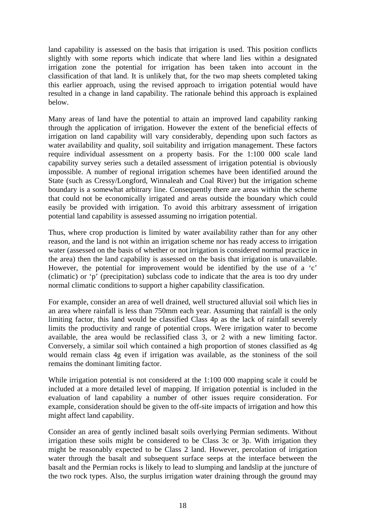land capability is assessed on the basis that irrigation is used. This position conflicts slightly with some reports which indicate that where land lies within a designated irrigation zone the potential for irrigation has been taken into account in the classification of that land. It is unlikely that, for the two map sheets completed taking this earlier approach, using the revised approach to irrigation potential would have resulted in a change in land capability. The rationale behind this approach is explained below.

Many areas of land have the potential to attain an improved land capability ranking through the application of irrigation. However the extent of the beneficial effects of irrigation on land capability will vary considerably, depending upon such factors as water availability and quality, soil suitability and irrigation management. These factors require individual assessment on a property basis. For the 1:100 000 scale land capability survey series such a detailed assessment of irrigation potential is obviously impossible. A number of regional irrigation schemes have been identified around the State (such as Cressy/Longford, Winnaleah and Coal River) but the irrigation scheme boundary is a somewhat arbitrary line. Consequently there are areas within the scheme that could not be economically irrigated and areas outside the boundary which could easily be provided with irrigation. To avoid this arbitrary assessment of irrigation potential land capability is assessed assuming no irrigation potential.

Thus, where crop production is limited by water availability rather than for any other reason, and the land is not within an irrigation scheme nor has ready access to irrigation water (assessed on the basis of whether or not irrigation is considered normal practice in the area) then the land capability is assessed on the basis that irrigation is unavailable. However, the potential for improvement would be identified by the use of a 'c' (climatic) or 'p' (precipitation) subclass code to indicate that the area is too dry under normal climatic conditions to support a higher capability classification.

For example, consider an area of well drained, well structured alluvial soil which lies in an area where rainfall is less than 750mm each year. Assuming that rainfall is the only limiting factor, this land would be classified Class 4p as the lack of rainfall severely limits the productivity and range of potential crops. Were irrigation water to become available, the area would be reclassified class 3, or 2 with a new limiting factor. Conversely, a similar soil which contained a high proportion of stones classified as 4g would remain class 4g even if irrigation was available, as the stoniness of the soil remains the dominant limiting factor.

While irrigation potential is not considered at the 1:100 000 mapping scale it could be included at a more detailed level of mapping. If irrigation potential is included in the evaluation of land capability a number of other issues require consideration. For example, consideration should be given to the off-site impacts of irrigation and how this might affect land capability.

Consider an area of gently inclined basalt soils overlying Permian sediments. Without irrigation these soils might be considered to be Class 3c or 3p. With irrigation they might be reasonably expected to be Class 2 land. However, percolation of irrigation water through the basalt and subsequent surface seeps at the interface between the basalt and the Permian rocks is likely to lead to slumping and landslip at the juncture of the two rock types. Also, the surplus irrigation water draining through the ground may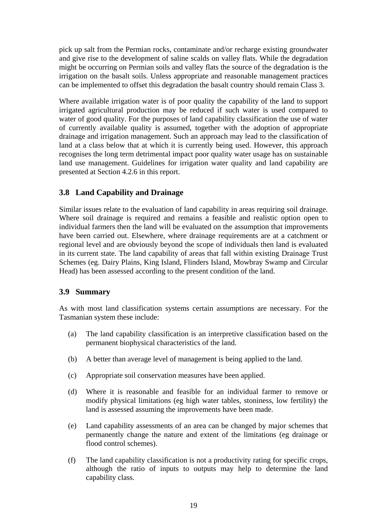pick up salt from the Permian rocks, contaminate and/or recharge existing groundwater and give rise to the development of saline scalds on valley flats. While the degradation might be occurring on Permian soils and valley flats the source of the degradation is the irrigation on the basalt soils. Unless appropriate and reasonable management practices can be implemented to offset this degradation the basalt country should remain Class 3.

Where available irrigation water is of poor quality the capability of the land to support irrigated agricultural production may be reduced if such water is used compared to water of good quality. For the purposes of land capability classification the use of water of currently available quality is assumed, together with the adoption of appropriate drainage and irrigation management. Such an approach may lead to the classification of land at a class below that at which it is currently being used. However, this approach recognises the long term detrimental impact poor quality water usage has on sustainable land use management. Guidelines for irrigation water quality and land capability are presented at Section 4.2.6 in this report.

## **3.8 Land Capability and Drainage**

Similar issues relate to the evaluation of land capability in areas requiring soil drainage. Where soil drainage is required and remains a feasible and realistic option open to individual farmers then the land will be evaluated on the assumption that improvements have been carried out. Elsewhere, where drainage requirements are at a catchment or regional level and are obviously beyond the scope of individuals then land is evaluated in its current state. The land capability of areas that fall within existing Drainage Trust Schemes (eg. Dairy Plains, King Island, Flinders Island, Mowbray Swamp and Circular Head) has been assessed according to the present condition of the land.

## **3.9 Summary**

As with most land classification systems certain assumptions are necessary. For the Tasmanian system these include:

- (a) The land capability classification is an interpretive classification based on the permanent biophysical characteristics of the land.
- (b) A better than average level of management is being applied to the land.
- (c) Appropriate soil conservation measures have been applied.
- (d) Where it is reasonable and feasible for an individual farmer to remove or modify physical limitations (eg high water tables, stoniness, low fertility) the land is assessed assuming the improvements have been made.
- (e) Land capability assessments of an area can be changed by major schemes that permanently change the nature and extent of the limitations (eg drainage or flood control schemes).
- (f) The land capability classification is not a productivity rating for specific crops, although the ratio of inputs to outputs may help to determine the land capability class.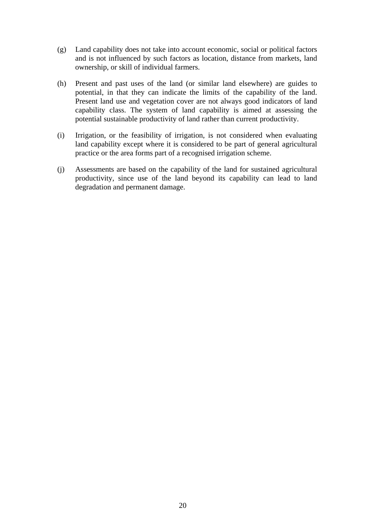- (g) Land capability does not take into account economic, social or political factors and is not influenced by such factors as location, distance from markets, land ownership, or skill of individual farmers.
- (h) Present and past uses of the land (or similar land elsewhere) are guides to potential, in that they can indicate the limits of the capability of the land. Present land use and vegetation cover are not always good indicators of land capability class. The system of land capability is aimed at assessing the potential sustainable productivity of land rather than current productivity.
- (i) Irrigation, or the feasibility of irrigation, is not considered when evaluating land capability except where it is considered to be part of general agricultural practice or the area forms part of a recognised irrigation scheme.
- (j) Assessments are based on the capability of the land for sustained agricultural productivity, since use of the land beyond its capability can lead to land degradation and permanent damage.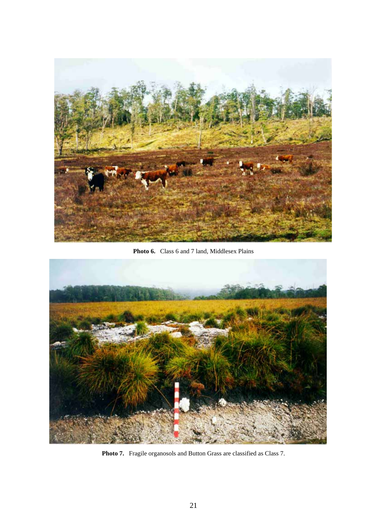

**Photo 6.** Class 6 and 7 land, Middlesex Plains



Photo 7. Fragile organosols and Button Grass are classified as Class 7.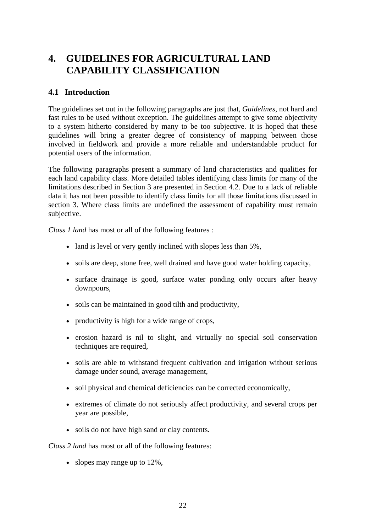## **4. GUIDELINES FOR AGRICULTURAL LAND CAPABILITY CLASSIFICATION**

## **4.1 Introduction**

The guidelines set out in the following paragraphs are just that, *Guidelines*, not hard and fast rules to be used without exception. The guidelines attempt to give some objectivity to a system hitherto considered by many to be too subjective. It is hoped that these guidelines will bring a greater degree of consistency of mapping between those involved in fieldwork and provide a more reliable and understandable product for potential users of the information.

The following paragraphs present a summary of land characteristics and qualities for each land capability class. More detailed tables identifying class limits for many of the limitations described in Section 3 are presented in Section 4.2. Due to a lack of reliable data it has not been possible to identify class limits for all those limitations discussed in section 3. Where class limits are undefined the assessment of capability must remain subjective.

*Class 1 land* has most or all of the following features :

- land is level or very gently inclined with slopes less than 5%,
- soils are deep, stone free, well drained and have good water holding capacity,
- surface drainage is good, surface water ponding only occurs after heavy downpours,
- soils can be maintained in good tilth and productivity,
- productivity is high for a wide range of crops,
- erosion hazard is nil to slight, and virtually no special soil conservation techniques are required,
- soils are able to withstand frequent cultivation and irrigation without serious damage under sound, average management,
- soil physical and chemical deficiencies can be corrected economically,
- extremes of climate do not seriously affect productivity, and several crops per year are possible,
- soils do not have high sand or clay contents.

*Class 2 land* has most or all of the following features:

• slopes may range up to 12%.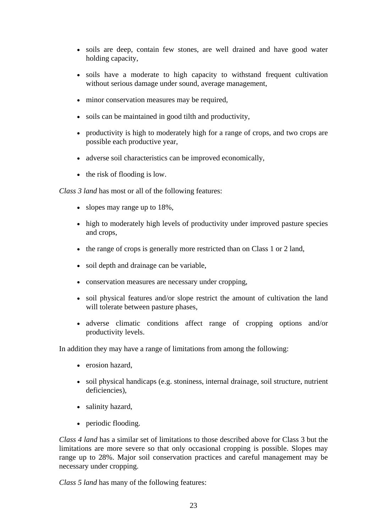- soils are deep, contain few stones, are well drained and have good water holding capacity,
- soils have a moderate to high capacity to withstand frequent cultivation without serious damage under sound, average management,
- minor conservation measures may be required,
- soils can be maintained in good tilth and productivity,
- productivity is high to moderately high for a range of crops, and two crops are possible each productive year,
- adverse soil characteristics can be improved economically,
- the risk of flooding is low.

*Class 3 land* has most or all of the following features:

- slopes may range up to 18%,
- high to moderately high levels of productivity under improved pasture species and crops,
- the range of crops is generally more restricted than on Class 1 or 2 land,
- soil depth and drainage can be variable,
- conservation measures are necessary under cropping,
- soil physical features and/or slope restrict the amount of cultivation the land will tolerate between pasture phases,
- adverse climatic conditions affect range of cropping options and/or productivity levels.

In addition they may have a range of limitations from among the following:

- erosion hazard.
- soil physical handicaps (e.g. stoniness, internal drainage, soil structure, nutrient deficiencies),
- salinity hazard,
- periodic flooding.

*Class 4 land* has a similar set of limitations to those described above for Class 3 but the limitations are more severe so that only occasional cropping is possible. Slopes may range up to 28%. Major soil conservation practices and careful management may be necessary under cropping.

*Class 5 land* has many of the following features: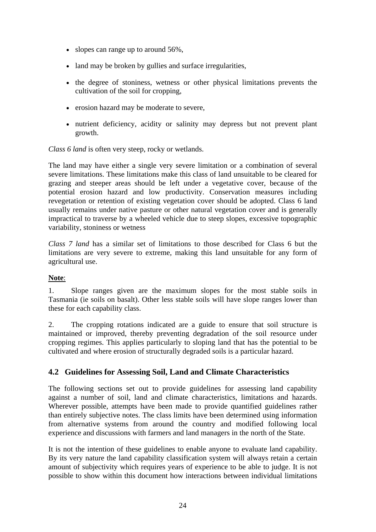- slopes can range up to around 56%,
- land may be broken by gullies and surface irregularities,
- the degree of stoniness, wetness or other physical limitations prevents the cultivation of the soil for cropping,
- erosion hazard may be moderate to severe,
- nutrient deficiency, acidity or salinity may depress but not prevent plant growth.

*Class 6 land* is often very steep, rocky or wetlands.

The land may have either a single very severe limitation or a combination of several severe limitations. These limitations make this class of land unsuitable to be cleared for grazing and steeper areas should be left under a vegetative cover, because of the potential erosion hazard and low productivity. Conservation measures including revegetation or retention of existing vegetation cover should be adopted. Class 6 land usually remains under native pasture or other natural vegetation cover and is generally impractical to traverse by a wheeled vehicle due to steep slopes, excessive topographic variability, stoniness or wetness

*Class 7 land* has a similar set of limitations to those described for Class 6 but the limitations are very severe to extreme, making this land unsuitable for any form of agricultural use.

#### **Note**:

1. Slope ranges given are the maximum slopes for the most stable soils in Tasmania (ie soils on basalt). Other less stable soils will have slope ranges lower than these for each capability class.

2. The cropping rotations indicated are a guide to ensure that soil structure is maintained or improved, thereby preventing degradation of the soil resource under cropping regimes. This applies particularly to sloping land that has the potential to be cultivated and where erosion of structurally degraded soils is a particular hazard.

### **4.2 Guidelines for Assessing Soil, Land and Climate Characteristics**

The following sections set out to provide guidelines for assessing land capability against a number of soil, land and climate characteristics, limitations and hazards. Wherever possible, attempts have been made to provide quantified guidelines rather than entirely subjective notes. The class limits have been determined using information from alternative systems from around the country and modified following local experience and discussions with farmers and land managers in the north of the State.

It is not the intention of these guidelines to enable anyone to evaluate land capability. By its very nature the land capability classification system will always retain a certain amount of subjectivity which requires years of experience to be able to judge. It is not possible to show within this document how interactions between individual limitations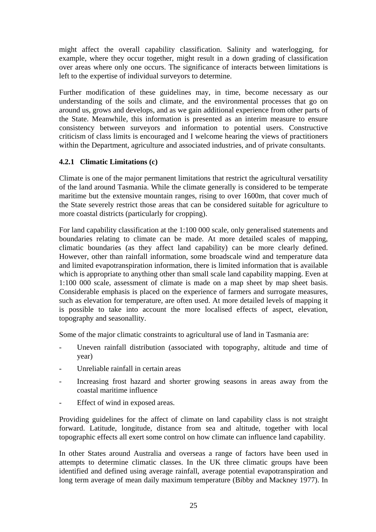might affect the overall capability classification. Salinity and waterlogging, for example, where they occur together, might result in a down grading of classification over areas where only one occurs. The significance of interacts between limitations is left to the expertise of individual surveyors to determine.

Further modification of these guidelines may, in time, become necessary as our understanding of the soils and climate, and the environmental processes that go on around us, grows and develops, and as we gain additional experience from other parts of the State. Meanwhile, this information is presented as an interim measure to ensure consistency between surveyors and information to potential users. Constructive criticism of class limits is encouraged and I welcome hearing the views of practitioners within the Department, agriculture and associated industries, and of private consultants.

### **4.2.1 Climatic Limitations (c)**

Climate is one of the major permanent limitations that restrict the agricultural versatility of the land around Tasmania. While the climate generally is considered to be temperate maritime but the extensive mountain ranges, rising to over 1600m, that cover much of the State severely restrict those areas that can be considered suitable for agriculture to more coastal districts (particularly for cropping).

For land capability classification at the 1:100 000 scale, only generalised statements and boundaries relating to climate can be made. At more detailed scales of mapping, climatic boundaries (as they affect land capability) can be more clearly defined. However, other than rainfall information, some broadscale wind and temperature data and limited evapotranspiration information, there is limited information that is available which is appropriate to anything other than small scale land capability mapping. Even at 1:100 000 scale, assessment of climate is made on a map sheet by map sheet basis. Considerable emphasis is placed on the experience of farmers and surrogate measures, such as elevation for temperature, are often used. At more detailed levels of mapping it is possible to take into account the more localised effects of aspect, elevation, topography and seasonallity.

Some of the major climatic constraints to agricultural use of land in Tasmania are:

- Uneven rainfall distribution (associated with topography, altitude and time of year)
- Unreliable rainfall in certain areas
- Increasing frost hazard and shorter growing seasons in areas away from the coastal maritime influence
- Effect of wind in exposed areas.

Providing guidelines for the affect of climate on land capability class is not straight forward. Latitude, longitude, distance from sea and altitude, together with local topographic effects all exert some control on how climate can influence land capability.

In other States around Australia and overseas a range of factors have been used in attempts to determine climatic classes. In the UK three climatic groups have been identified and defined using average rainfall, average potential evapotranspiration and long term average of mean daily maximum temperature (Bibby and Mackney 1977). In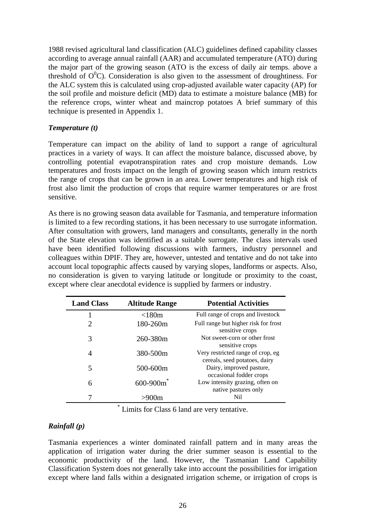1988 revised agricultural land classification (ALC) guidelines defined capability classes according to average annual rainfall (AAR) and accumulated temperature (ATO) during the major part of the growing season (ATO is the excess of daily air temps. above a threshold of  $O^{0}C$ ). Consideration is also given to the assessment of droughtiness. For the ALC system this is calculated using crop-adjusted available water capacity (AP) for the soil profile and moisture deficit (MD) data to estimate a moisture balance (MB) for the reference crops, winter wheat and maincrop potatoes A brief summary of this technique is presented in Appendix 1.

### *Temperature (t)*

Temperature can impact on the ability of land to support a range of agricultural practices in a variety of ways. It can affect the moisture balance, discussed above, by controlling potential evapotranspiration rates and crop moisture demands. Low temperatures and frosts impact on the length of growing season which inturn restricts the range of crops that can be grown in an area. Lower temperatures and high risk of frost also limit the production of crops that require warmer temperatures or are frost sensitive.

As there is no growing season data available for Tasmania, and temperature information is limited to a few recording stations, it has been necessary to use surrogate information. After consultation with growers, land managers and consultants, generally in the north of the State elevation was identified as a suitable surrogate. The class intervals used have been identified following discussions with farmers, industry personnel and colleagues within DPIF. They are, however, untested and tentative and do not take into account local topographic affects caused by varying slopes, landforms or aspects. Also, no consideration is given to varying latitude or longitude or proximity to the coast, except where clear anecdotal evidence is supplied by farmers or industry.

| <b>Land Class</b> | <b>Altitude Range</b> | <b>Potential Activities</b>                                        |
|-------------------|-----------------------|--------------------------------------------------------------------|
|                   | $<$ 180 $m$           | Full range of crops and livestock                                  |
| 2                 | 180-260m              | Full range but higher risk for frost<br>sensitive crops            |
| 3                 | 260-380m              | Not sweet-corn or other frost<br>sensitive crops                   |
| 4                 | 380-500m              | Very restricted range of crop, eg<br>cereals, seed potatoes, dairy |
| 5                 | 500-600m              | Dairy, improved pasture,<br>occasional fodder crops                |
| $600 - 900m$<br>6 |                       | Low intensity grazing, often on<br>native pastures only            |
|                   |                       | Nil                                                                |

\* Limits for Class 6 land are very tentative.

## *Rainfall (p)*

Tasmania experiences a winter dominated rainfall pattern and in many areas the application of irrigation water during the drier summer season is essential to the economic productivity of the land. However, the Tasmanian Land Capability Classification System does not generally take into account the possibilities for irrigation except where land falls within a designated irrigation scheme, or irrigation of crops is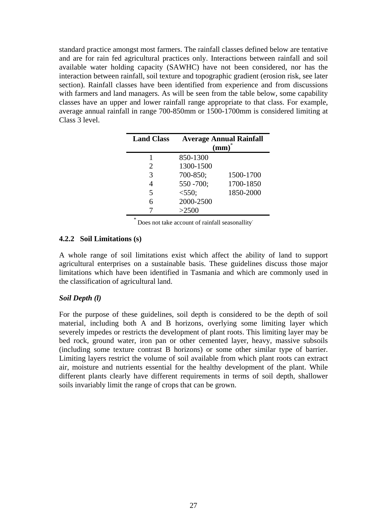standard practice amongst most farmers. The rainfall classes defined below are tentative and are for rain fed agricultural practices only. Interactions between rainfall and soil available water holding capacity (SAWHC) have not been considered, nor has the interaction between rainfall, soil texture and topographic gradient (erosion risk, see later section). Rainfall classes have been identified from experience and from discussions with farmers and land managers. As will be seen from the table below, some capability classes have an upper and lower rainfall range appropriate to that class. For example, average annual rainfall in range 700-850mm or 1500-1700mm is considered limiting at Class 3 level.

| <b>Land Class</b> | <b>Average Annual Rainfall</b><br>$(mm)^*$ |           |  |
|-------------------|--------------------------------------------|-----------|--|
|                   | 850-1300                                   |           |  |
| 2                 | 1300-1500                                  |           |  |
| 3                 | 700-850;                                   | 1500-1700 |  |
|                   | 550 -700;                                  | 1700-1850 |  |
| 5                 | < 550;                                     | 1850-2000 |  |
|                   | 2000-2500                                  |           |  |
|                   | >2500                                      |           |  |

Does not take account of rainfall seasonallity.

### **4.2.2 Soil Limitations (s)**

A whole range of soil limitations exist which affect the ability of land to support agricultural enterprises on a sustainable basis. These guidelines discuss those major limitations which have been identified in Tasmania and which are commonly used in the classification of agricultural land.

## *Soil Depth (l)*

For the purpose of these guidelines, soil depth is considered to be the depth of soil material, including both A and B horizons, overlying some limiting layer which severely impedes or restricts the development of plant roots. This limiting layer may be bed rock, ground water, iron pan or other cemented layer, heavy, massive subsoils (including some texture contrast B horizons) or some other similar type of barrier. Limiting layers restrict the volume of soil available from which plant roots can extract air, moisture and nutrients essential for the healthy development of the plant. While different plants clearly have different requirements in terms of soil depth, shallower soils invariably limit the range of crops that can be grown.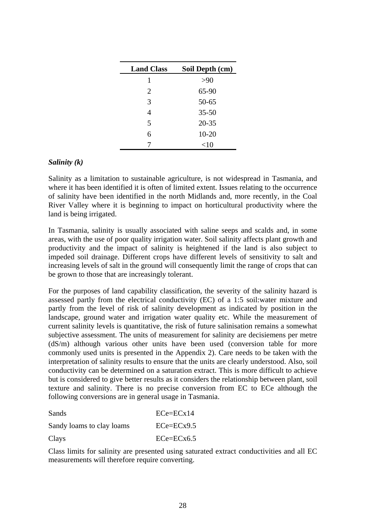| <b>Land Class</b> | Soil Depth (cm) |
|-------------------|-----------------|
| 1                 | >90             |
| 2                 | 65-90           |
| 3                 | $50 - 65$       |
| 4                 | $35 - 50$       |
| 5                 | $20 - 35$       |
| 6                 | $10 - 20$       |
|                   | $<$ 10          |

#### *Salinity (k)*

Salinity as a limitation to sustainable agriculture, is not widespread in Tasmania, and where it has been identified it is often of limited extent. Issues relating to the occurrence of salinity have been identified in the north Midlands and, more recently, in the Coal River Valley where it is beginning to impact on horticultural productivity where the land is being irrigated.

In Tasmania, salinity is usually associated with saline seeps and scalds and, in some areas, with the use of poor quality irrigation water. Soil salinity affects plant growth and productivity and the impact of salinity is heightened if the land is also subject to impeded soil drainage. Different crops have different levels of sensitivity to salt and increasing levels of salt in the ground will consequently limit the range of crops that can be grown to those that are increasingly tolerant.

For the purposes of land capability classification, the severity of the salinity hazard is assessed partly from the electrical conductivity (EC) of a 1:5 soil:water mixture and partly from the level of risk of salinity development as indicated by position in the landscape, ground water and irrigation water quality etc. While the measurement of current salinity levels is quantitative, the risk of future salinisation remains a somewhat subjective assessment. The units of measurement for salinity are decisiemens per metre (dS/m) although various other units have been used (conversion table for more commonly used units is presented in the Appendix 2). Care needs to be taken with the interpretation of salinity results to ensure that the units are clearly understood. Also, soil conductivity can be determined on a saturation extract. This is more difficult to achieve but is considered to give better results as it considers the relationship between plant, soil texture and salinity. There is no precise conversion from EC to ECe although the following conversions are in general usage in Tasmania.

| Sands                     | $ECe=ECx14$  |
|---------------------------|--------------|
| Sandy loams to clay loams | $ECe=ECx9.5$ |
| Clays                     | $ECe=ECx6.5$ |

Class limits for salinity are presented using saturated extract conductivities and all EC measurements will therefore require converting.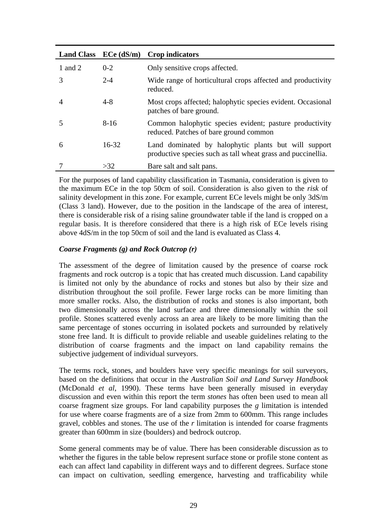| <b>Land Class</b> | $ECe$ (dS/m) | Crop indicators                                                                                                      |
|-------------------|--------------|----------------------------------------------------------------------------------------------------------------------|
| 1 and 2           | $0 - 2$      | Only sensitive crops affected.                                                                                       |
| $\mathcal{R}$     | $2 - 4$      | Wide range of horticultural crops affected and productivity<br>reduced.                                              |
| $\overline{A}$    | $4 - 8$      | Most crops affected; halophytic species evident. Occasional<br>patches of bare ground.                               |
|                   | $8 - 16$     | Common halophytic species evident; pasture productivity<br>reduced. Patches of bare ground common                    |
| 6                 | $16 - 32$    | Land dominated by halophytic plants but will support<br>productive species such as tall wheat grass and puccinellia. |
|                   | >32          | Bare salt and salt pans.                                                                                             |

For the purposes of land capability classification in Tasmania, consideration is given to the maximum ECe in the top 50cm of soil. Consideration is also given to the *risk* of salinity development in this zone. For example, current ECe levels might be only 3dS/m (Class 3 land). However, due to the position in the landscape of the area of interest, there is considerable risk of a rising saline groundwater table if the land is cropped on a regular basis. It is therefore considered that there is a high risk of ECe levels rising above 4dS/m in the top 50cm of soil and the land is evaluated as Class 4.

#### *Coarse Fragments (g) and Rock Outcrop (r)*

The assessment of the degree of limitation caused by the presence of coarse rock fragments and rock outcrop is a topic that has created much discussion. Land capability is limited not only by the abundance of rocks and stones but also by their size and distribution throughout the soil profile. Fewer large rocks can be more limiting than more smaller rocks. Also, the distribution of rocks and stones is also important, both two dimensionally across the land surface and three dimensionally within the soil profile. Stones scattered evenly across an area are likely to be more limiting than the same percentage of stones occurring in isolated pockets and surrounded by relatively stone free land. It is difficult to provide reliable and useable guidelines relating to the distribution of coarse fragments and the impact on land capability remains the subjective judgement of individual surveyors.

The terms rock, stones, and boulders have very specific meanings for soil surveyors, based on the definitions that occur in the *Australian Soil and Land Survey Handbook* (McDonald *et al*, 1990). These terms have been generally misused in everyday discussion and even within this report the term *stones* has often been used to mean all coarse fragment size groups. For land capability purposes the *g* limitation is intended for use where coarse fragments are of a size from 2mm to 600mm. This range includes gravel, cobbles and stones. The use of the *r* limitation is intended for coarse fragments greater than 600mm in size (boulders) and bedrock outcrop.

Some general comments may be of value. There has been considerable discussion as to whether the figures in the table below represent surface stone or profile stone content as each can affect land capability in different ways and to different degrees. Surface stone can impact on cultivation, seedling emergence, harvesting and trafficability while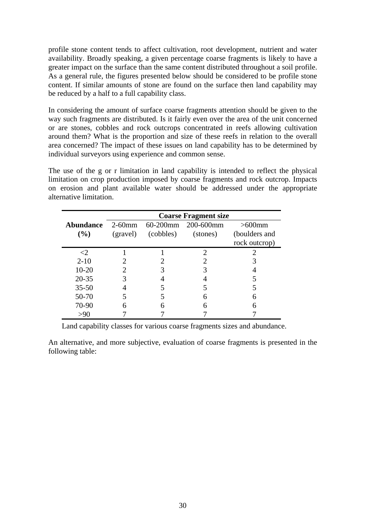profile stone content tends to affect cultivation, root development, nutrient and water availability. Broadly speaking, a given percentage coarse fragments is likely to have a greater impact on the surface than the same content distributed throughout a soil profile. As a general rule, the figures presented below should be considered to be profile stone content. If similar amounts of stone are found on the surface then land capability may be reduced by a half to a full capability class.

In considering the amount of surface coarse fragments attention should be given to the way such fragments are distributed. Is it fairly even over the area of the unit concerned or are stones, cobbles and rock outcrops concentrated in reefs allowing cultivation around them? What is the proportion and size of these reefs in relation to the overall area concerned? The impact of these issues on land capability has to be determined by individual surveyors using experience and common sense.

The use of the g or r limitation in land capability is intended to reflect the physical limitation on crop production imposed by coarse fragments and rock outcrop. Impacts on erosion and plant available water should be addressed under the appropriate alternative limitation.

|                  | <b>Coarse Fragment size</b> |           |           |               |  |
|------------------|-----------------------------|-----------|-----------|---------------|--|
| <b>Abundance</b> | $2-60$ mm                   | 60-200mm  | 200-600mm | $>600$ mm     |  |
| (%)              | (gravel)                    | (cobbles) | (stones)  | (boulders and |  |
|                  |                             |           |           | rock outcrop) |  |
| $\leq$ 2         |                             |           |           |               |  |
| $2 - 10$         |                             |           |           |               |  |
| $10 - 20$        |                             |           |           |               |  |
| $20 - 35$        |                             |           |           |               |  |
| $35 - 50$        |                             |           |           |               |  |
| 50-70            |                             |           |           |               |  |
| 70-90            |                             |           |           |               |  |
| >90              |                             |           |           |               |  |

Land capability classes for various coarse fragments sizes and abundance.

An alternative, and more subjective, evaluation of coarse fragments is presented in the following table: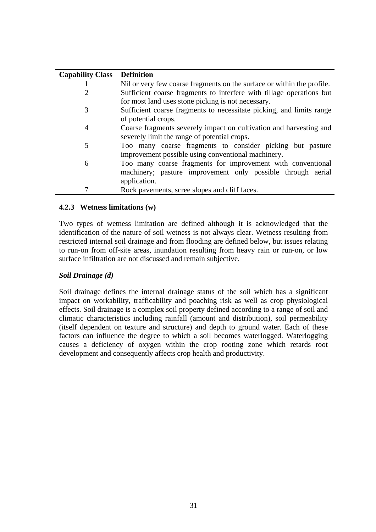| <b>Capability Class</b> | <b>Definition</b>                                                      |  |  |  |
|-------------------------|------------------------------------------------------------------------|--|--|--|
|                         | Nil or very few coarse fragments on the surface or within the profile. |  |  |  |
|                         | Sufficient coarse fragments to interfere with tillage operations but   |  |  |  |
|                         | for most land uses stone picking is not necessary.                     |  |  |  |
| 3                       | Sufficient coarse fragments to necessitate picking, and limits range   |  |  |  |
|                         | of potential crops.                                                    |  |  |  |
| 4                       | Coarse fragments severely impact on cultivation and harvesting and     |  |  |  |
|                         | severely limit the range of potential crops.                           |  |  |  |
| 5                       | Too many coarse fragments to consider picking but pasture              |  |  |  |
|                         | improvement possible using conventional machinery.                     |  |  |  |
| 6                       | Too many coarse fragments for improvement with conventional            |  |  |  |
|                         | machinery; pasture improvement only possible through aerial            |  |  |  |
|                         | application.                                                           |  |  |  |
|                         | Rock pavements, scree slopes and cliff faces.                          |  |  |  |

#### **4.2.3 Wetness limitations (w)**

Two types of wetness limitation are defined although it is acknowledged that the identification of the nature of soil wetness is not always clear. Wetness resulting from restricted internal soil drainage and from flooding are defined below, but issues relating to run-on from off-site areas, inundation resulting from heavy rain or run-on, or low surface infiltration are not discussed and remain subjective.

### *Soil Drainage (d)*

Soil drainage defines the internal drainage status of the soil which has a significant impact on workability, trafficability and poaching risk as well as crop physiological effects. Soil drainage is a complex soil property defined according to a range of soil and climatic characteristics including rainfall (amount and distribution), soil permeability (itself dependent on texture and structure) and depth to ground water. Each of these factors can influence the degree to which a soil becomes waterlogged. Waterlogging causes a deficiency of oxygen within the crop rooting zone which retards root development and consequently affects crop health and productivity.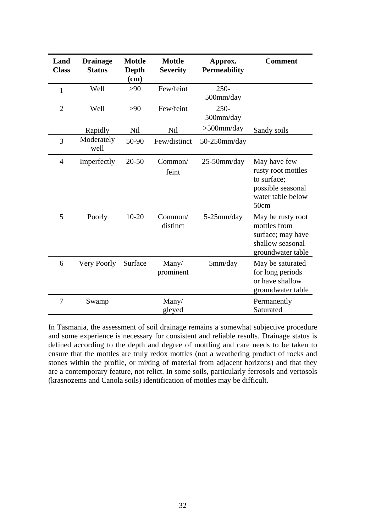| Land<br><b>Class</b> | <b>Drainage</b><br><b>Status</b> | <b>Mottle</b><br>Depth<br>(cm) | <b>Mottle</b><br><b>Severity</b> | Approx.<br><b>Permeability</b> | <b>Comment</b>                                                                                      |
|----------------------|----------------------------------|--------------------------------|----------------------------------|--------------------------------|-----------------------------------------------------------------------------------------------------|
| $\mathbf{1}$         | Well                             | $>90$                          | Few/feint                        | $250 -$<br>500mm/day           |                                                                                                     |
| $\overline{2}$       | Well                             | >90                            | Few/feint                        | $250 -$<br>500mm/day           |                                                                                                     |
|                      | Rapidly                          | Nil                            | <b>Nil</b>                       | $>500$ mm/day                  | Sandy soils                                                                                         |
| 3                    | Moderately<br>well               | 50-90                          | Few/distinct                     | $50-250$ mm/day                |                                                                                                     |
| $\overline{4}$       | Imperfectly                      | $20 - 50$                      | Common/<br>feint                 | $25-50$ mm/day                 | May have few<br>rusty root mottles<br>to surface:<br>possible seasonal<br>water table below<br>50cm |
| 5                    | Poorly                           | $10 - 20$                      | Common/<br>distinct              | $5-25$ mm/day                  | May be rusty root<br>mottles from<br>surface; may have<br>shallow seasonal<br>groundwater table     |
| 6                    | Very Poorly                      | Surface                        | Many/<br>prominent               | 5mm/day                        | May be saturated<br>for long periods<br>or have shallow<br>groundwater table                        |
| 7                    | Swamp                            |                                | Many/<br>gleyed                  |                                | Permanently<br>Saturated                                                                            |

In Tasmania, the assessment of soil drainage remains a somewhat subjective procedure and some experience is necessary for consistent and reliable results. Drainage status is defined according to the depth and degree of mottling and care needs to be taken to ensure that the mottles are truly redox mottles (not a weathering product of rocks and stones within the profile, or mixing of material from adjacent horizons) and that they are a contemporary feature, not relict. In some soils, particularly ferrosols and vertosols (krasnozems and Canola soils) identification of mottles may be difficult.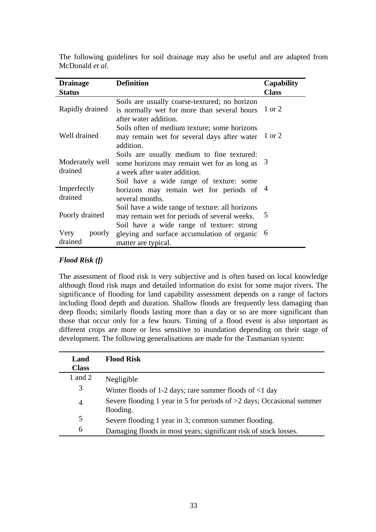| <b>Drainage</b>            | <b>Definition</b>                                                                                                                            | Capability   |
|----------------------------|----------------------------------------------------------------------------------------------------------------------------------------------|--------------|
| <b>Status</b>              |                                                                                                                                              | <b>Class</b> |
| Rapidly drained            | Soils are usually coarse-textured; no horizon<br>is normally wet for more than several hours<br>after water addition.                        | 1 or 2       |
| Well drained               | Soils often of medium texture; some horizons<br>may remain wet for several days after water<br>addition.                                     | 1 or 2       |
| Moderately well<br>drained | Soils are usually medium to fine textured:<br>some horizons may remain wet for as long as $3$<br>a week after water addition.                |              |
| Imperfectly<br>drained     | Soil have a wide range of texture: some<br>horizons may remain wet for periods of $4$<br>several months.                                     |              |
| Poorly drained             | Soil have a wide range of texture: all horizons<br>may remain wet for periods of several weeks.<br>Soil have a wide range of texture: strong | 5            |
| Very<br>poorly<br>drained  | gleying and surface accumulation of organic<br>matter are typical.                                                                           | 6            |

The following guidelines for soil drainage may also be useful and are adapted from McDonald *et al*.

### *Flood Risk (f)*

The assessment of flood risk is very subjective and is often based on local knowledge although flood risk maps and detailed information do exist for some major rivers. The significance of flooding for land capability assessment depends on a range of factors including flood depth and duration. Shallow floods are frequently less damaging than deep floods; similarly floods lasting more than a day or so are more significant than those that occur only for a few hours. Timing of a flood event is also important as different crops are more or less sensitive to inundation depending on their stage of development. The following generalisations are made for the Tasmanian system:

| Land<br><b>Class</b> | <b>Flood Risk</b>                                                                    |
|----------------------|--------------------------------------------------------------------------------------|
| 1 and 2              | Negligible                                                                           |
| 3                    | Winter floods of 1-2 days; rare summer floods of $\leq 1$ day                        |
| $\overline{4}$       | Severe flooding 1 year in 5 for periods of $>2$ days; Occasional summer<br>flooding. |
| 5                    | Severe flooding 1 year in 3; common summer flooding.                                 |
| 6                    | Damaging floods in most years; significant risk of stock losses.                     |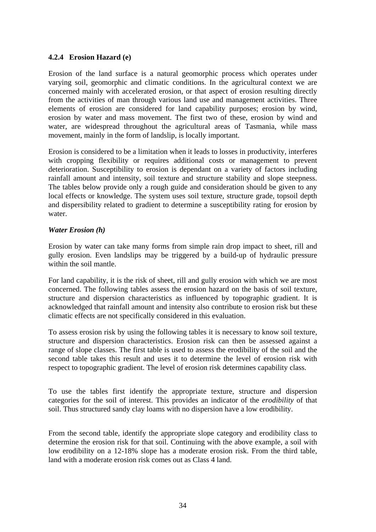#### **4.2.4 Erosion Hazard (e)**

Erosion of the land surface is a natural geomorphic process which operates under varying soil, geomorphic and climatic conditions. In the agricultural context we are concerned mainly with accelerated erosion, or that aspect of erosion resulting directly from the activities of man through various land use and management activities. Three elements of erosion are considered for land capability purposes; erosion by wind, erosion by water and mass movement. The first two of these, erosion by wind and water, are widespread throughout the agricultural areas of Tasmania, while mass movement, mainly in the form of landslip, is locally important.

Erosion is considered to be a limitation when it leads to losses in productivity, interferes with cropping flexibility or requires additional costs or management to prevent deterioration. Susceptibility to erosion is dependant on a variety of factors including rainfall amount and intensity, soil texture and structure stability and slope steepness. The tables below provide only a rough guide and consideration should be given to any local effects or knowledge. The system uses soil texture, structure grade, topsoil depth and dispersibility related to gradient to determine a susceptibility rating for erosion by water.

#### *Water Erosion (h)*

Erosion by water can take many forms from simple rain drop impact to sheet, rill and gully erosion. Even landslips may be triggered by a build-up of hydraulic pressure within the soil mantle.

For land capability, it is the risk of sheet, rill and gully erosion with which we are most concerned. The following tables assess the erosion hazard on the basis of soil texture, structure and dispersion characteristics as influenced by topographic gradient. It is acknowledged that rainfall amount and intensity also contribute to erosion risk but these climatic effects are not specifically considered in this evaluation.

To assess erosion risk by using the following tables it is necessary to know soil texture, structure and dispersion characteristics. Erosion risk can then be assessed against a range of slope classes. The first table is used to assess the erodibility of the soil and the second table takes this result and uses it to determine the level of erosion risk with respect to topographic gradient. The level of erosion risk determines capability class.

To use the tables first identify the appropriate texture, structure and dispersion categories for the soil of interest. This provides an indicator of the *erodibility* of that soil. Thus structured sandy clay loams with no dispersion have a low erodibility.

From the second table, identify the appropriate slope category and erodibility class to determine the erosion risk for that soil. Continuing with the above example, a soil with low erodibility on a 12-18% slope has a moderate erosion risk. From the third table, land with a moderate erosion risk comes out as Class 4 land.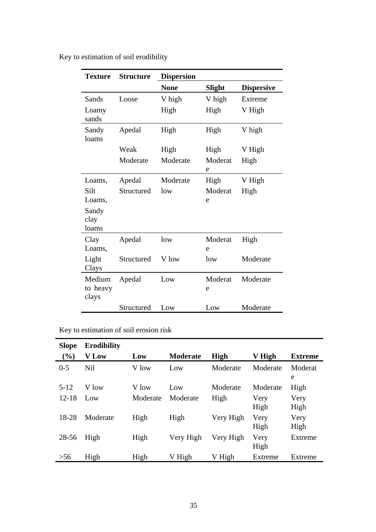| <b>Texture</b>              | <b>Structure</b> | <b>Dispersion</b> |               |                   |
|-----------------------------|------------------|-------------------|---------------|-------------------|
|                             |                  | <b>None</b>       | <b>Slight</b> | <b>Dispersive</b> |
| Sands                       | Loose            | V high            | V high        | Extreme           |
| Loamy<br>sands              |                  | High              | High          | V High            |
| Sandy<br>loams              | Apedal           | High              | High          | V high            |
|                             | Weak             | High              | High          | V High            |
|                             | Moderate         | Moderate          | Moderat<br>e  | High              |
| Loams,                      | Apedal           | Moderate          | High          | V High            |
| Silt                        | Structured       | low               | Moderat       | High              |
| Loams,                      |                  |                   | e             |                   |
| Sandy<br>clay<br>loams      |                  |                   |               |                   |
| Clay<br>Loams,              | Apedal           | low               | Moderat<br>e  | High              |
| Light<br>Clays              | Structured       | V low             | low           | Moderate          |
| Medium<br>to heavy<br>clays | Apedal           | Low               | Moderat<br>e  | Moderate          |
|                             | Structured       | Low               | Low           | Moderate          |

Key to estimation of soil erodibility

Key to estimation of soil erosion risk

| <b>Slope</b> | <b>Erodibility</b> |          |                 |             |              |                |
|--------------|--------------------|----------|-----------------|-------------|--------------|----------------|
| $(\%)$       | <b>V</b> Low       | Low      | <b>Moderate</b> | <b>High</b> | V High       | <b>Extreme</b> |
| $0 - 5$      | <b>Nil</b>         | V low    | Low             | Moderate    | Moderate     | Moderat<br>e   |
| $5 - 12$     | V low              | V low    | Low             | Moderate    | Moderate     | High           |
| $12 - 18$    | Low                | Moderate | Moderate        | High        | Very<br>High | Very<br>High   |
| 18-28        | Moderate           | High     | High            | Very High   | Very<br>High | Very<br>High   |
| 28-56        | High               | High     | Very High       | Very High   | Very<br>High | Extreme        |
| >56          | High               | High     | V High          | V High      | Extreme      | Extreme        |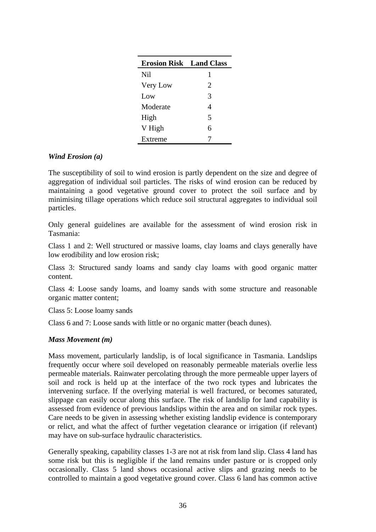| <b>Erosion Risk</b> | <b>Land Class</b>           |
|---------------------|-----------------------------|
| Nil                 | 1                           |
| Very Low            | $\mathcal{D}_{\mathcal{L}}$ |
| Low                 | 3                           |
| Moderate            | 4                           |
| High                | 5                           |
| V High              | 6                           |
| Extreme             |                             |

#### *Wind Erosion (a)*

The susceptibility of soil to wind erosion is partly dependent on the size and degree of aggregation of individual soil particles. The risks of wind erosion can be reduced by maintaining a good vegetative ground cover to protect the soil surface and by minimising tillage operations which reduce soil structural aggregates to individual soil particles.

Only general guidelines are available for the assessment of wind erosion risk in Tasmania:

Class 1 and 2: Well structured or massive loams, clay loams and clays generally have low erodibility and low erosion risk;

Class 3: Structured sandy loams and sandy clay loams with good organic matter content.

Class 4: Loose sandy loams, and loamy sands with some structure and reasonable organic matter content;

Class 5: Loose loamy sands

Class 6 and 7: Loose sands with little or no organic matter (beach dunes).

#### *Mass Movement (m)*

Mass movement, particularly landslip, is of local significance in Tasmania. Landslips frequently occur where soil developed on reasonably permeable materials overlie less permeable materials. Rainwater percolating through the more permeable upper layers of soil and rock is held up at the interface of the two rock types and lubricates the intervening surface. If the overlying material is well fractured, or becomes saturated, slippage can easily occur along this surface. The risk of landslip for land capability is assessed from evidence of previous landslips within the area and on similar rock types. Care needs to be given in assessing whether existing landslip evidence is contemporary or relict, and what the affect of further vegetation clearance or irrigation (if relevant) may have on sub-surface hydraulic characteristics.

Generally speaking, capability classes 1-3 are not at risk from land slip. Class 4 land has some risk but this is negligible if the land remains under pasture or is cropped only occasionally. Class 5 land shows occasional active slips and grazing needs to be controlled to maintain a good vegetative ground cover. Class 6 land has common active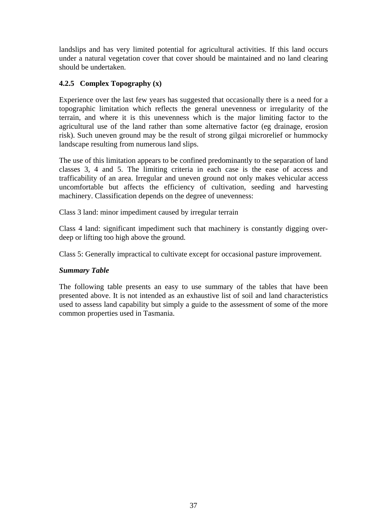landslips and has very limited potential for agricultural activities. If this land occurs under a natural vegetation cover that cover should be maintained and no land clearing should be undertaken.

### **4.2.5 Complex Topography (x)**

Experience over the last few years has suggested that occasionally there is a need for a topographic limitation which reflects the general unevenness or irregularity of the terrain, and where it is this unevenness which is the major limiting factor to the agricultural use of the land rather than some alternative factor (eg drainage, erosion risk). Such uneven ground may be the result of strong gilgai microrelief or hummocky landscape resulting from numerous land slips.

The use of this limitation appears to be confined predominantly to the separation of land classes 3, 4 and 5. The limiting criteria in each case is the ease of access and trafficability of an area. Irregular and uneven ground not only makes vehicular access uncomfortable but affects the efficiency of cultivation, seeding and harvesting machinery. Classification depends on the degree of unevenness:

Class 3 land: minor impediment caused by irregular terrain

Class 4 land: significant impediment such that machinery is constantly digging overdeep or lifting too high above the ground.

Class 5: Generally impractical to cultivate except for occasional pasture improvement.

#### *Summary Table*

The following table presents an easy to use summary of the tables that have been presented above. It is not intended as an exhaustive list of soil and land characteristics used to assess land capability but simply a guide to the assessment of some of the more common properties used in Tasmania.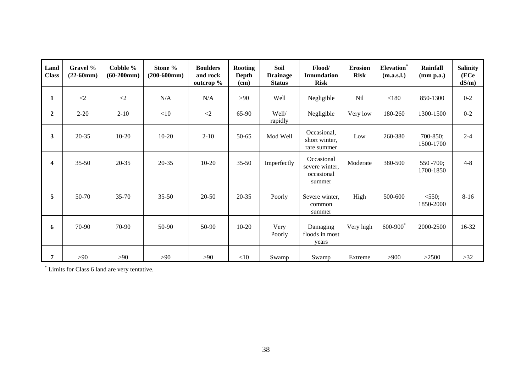| Land<br><b>Class</b>    | Gravel %<br>$(22-60mm)$ | Cobble %<br>$(60-200mm)$ | Stone %<br>$(200-600mm)$ | <b>Boulders</b><br>and rock<br>outcrop % | Rooting<br>Depth<br>(cm) | <b>Soil</b><br><b>Drainage</b><br><b>Status</b> | Flood/<br><b>Innundation</b><br><b>Risk</b>          | <b>Erosion</b><br><b>Risk</b> | ${\rm Elevation}^*$<br>(m.a.s.l.) | <b>Rainfall</b><br>(mm p.a.) | <b>Salinity</b><br>(ECe<br>dS/m |
|-------------------------|-------------------------|--------------------------|--------------------------|------------------------------------------|--------------------------|-------------------------------------------------|------------------------------------------------------|-------------------------------|-----------------------------------|------------------------------|---------------------------------|
| $\mathbf{1}$            | $\langle 2$             | ${<}2$                   | N/A                      | N/A                                      | >90                      | Well                                            | Negligible                                           | Nil                           | $<180$                            | 850-1300                     | $0 - 2$                         |
| $\overline{2}$          | $2 - 20$                | $2 - 10$                 | <10                      | $\langle 2$                              | 65-90                    | Well/<br>rapidly                                | Negligible                                           | Very low                      | 180-260                           | 1300-1500                    | $0 - 2$                         |
| 3                       | $20 - 35$               | $10 - 20$                | $10 - 20$                | $2 - 10$                                 | 50-65                    | Mod Well                                        | Occasional,<br>short winter.<br>rare summer          | Low                           | 260-380                           | 700-850;<br>1500-1700        | $2 - 4$                         |
| $\overline{\mathbf{4}}$ | $35 - 50$               | $20 - 35$                | $20 - 35$                | $10-20$                                  | $35 - 50$                | Imperfectly                                     | Occasional<br>severe winter,<br>occasional<br>summer | Moderate                      | 380-500                           | $550 - 700$ ;<br>1700-1850   | $4 - 8$                         |
| 5                       | 50-70                   | $35 - 70$                | $35 - 50$                | $20 - 50$                                | $20 - 35$                | Poorly                                          | Severe winter,<br>common<br>summer                   | High                          | 500-600                           | $<$ 550;<br>1850-2000        | $8 - 16$                        |
| 6                       | 70-90                   | 70-90                    | 50-90                    | 50-90                                    | $10 - 20$                | Very<br>Poorly                                  | Damaging<br>floods in most<br>years                  | Very high                     | $600 - 900$ <sup>*</sup>          | 2000-2500                    | 16-32                           |
| 7                       | >90                     | >90                      | >90                      | >90                                      | $<$ 10                   | Swamp                                           | Swamp                                                | Extreme                       | >900                              | >2500                        | $>32$                           |

\* Limits for Class 6 land are very tentative.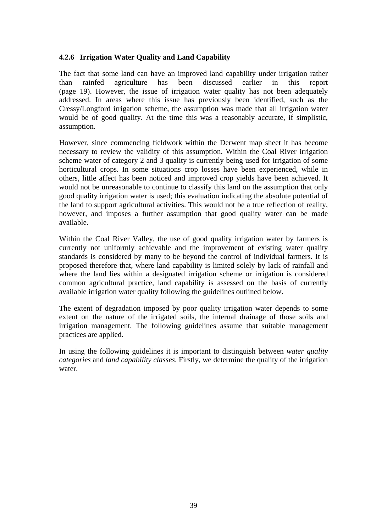#### **4.2.6 Irrigation Water Quality and Land Capability**

The fact that some land can have an improved land capability under irrigation rather than rainfed agriculture has been discussed earlier in this report (page 19). However, the issue of irrigation water quality has not been adequately addressed. In areas where this issue has previously been identified, such as the Cressy/Longford irrigation scheme, the assumption was made that all irrigation water would be of good quality. At the time this was a reasonably accurate, if simplistic, assumption.

However, since commencing fieldwork within the Derwent map sheet it has become necessary to review the validity of this assumption. Within the Coal River irrigation scheme water of category 2 and 3 quality is currently being used for irrigation of some horticultural crops. In some situations crop losses have been experienced, while in others, little affect has been noticed and improved crop yields have been achieved. It would not be unreasonable to continue to classify this land on the assumption that only good quality irrigation water is used; this evaluation indicating the absolute potential of the land to support agricultural activities. This would not be a true reflection of reality, however, and imposes a further assumption that good quality water can be made available.

Within the Coal River Valley, the use of good quality irrigation water by farmers is currently not uniformly achievable and the improvement of existing water quality standards is considered by many to be beyond the control of individual farmers. It is proposed therefore that, where land capability is limited solely by lack of rainfall and where the land lies within a designated irrigation scheme or irrigation is considered common agricultural practice, land capability is assessed on the basis of currently available irrigation water quality following the guidelines outlined below.

The extent of degradation imposed by poor quality irrigation water depends to some extent on the nature of the irrigated soils, the internal drainage of those soils and irrigation management. The following guidelines assume that suitable management practices are applied.

In using the following guidelines it is important to distinguish between *water quality categories* and *land capability classes*. Firstly, we determine the quality of the irrigation water.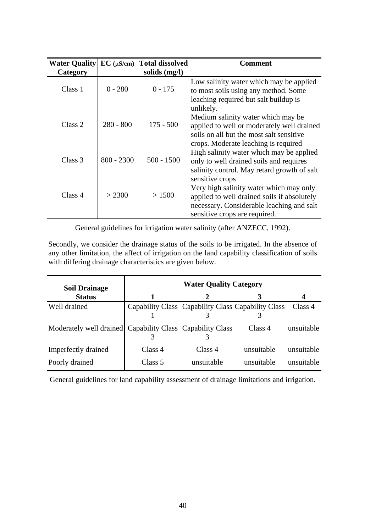| <b>Water Quality</b> |              | $EC$ ( $\mu$ S/cm) Total dissolved | Comment                                                                                                                                                                                 |
|----------------------|--------------|------------------------------------|-----------------------------------------------------------------------------------------------------------------------------------------------------------------------------------------|
| Category             |              | solids (mg/l)                      |                                                                                                                                                                                         |
| Class 1              | $0 - 280$    | $0 - 175$                          | Low salinity water which may be applied<br>to most soils using any method. Some<br>leaching required but salt buildup is                                                                |
| Class 2              | $280 - 800$  | $175 - 500$                        | unlikely.<br>Medium salinity water which may be<br>applied to well or moderately well drained<br>soils on all but the most salt sensitive                                               |
| Class 3              | $800 - 2300$ | $500 - 1500$                       | crops. Moderate leaching is required<br>High salinity water which may be applied<br>only to well drained soils and requires<br>salinity control. May retard growth of salt              |
| Class 4              | > 2300       | >1500                              | sensitive crops<br>Very high salinity water which may only<br>applied to well drained soils if absolutely<br>necessary. Considerable leaching and salt<br>sensitive crops are required. |

General guidelines for irrigation water salinity (after ANZECC, 1992).

Secondly, we consider the drainage status of the soils to be irrigated. In the absence of any other limitation, the affect of irrigation on the land capability classification of soils with differing drainage characteristics are given below.

| <b>Soil Drainage</b>                                      |         | <b>Water Quality Category</b>                      |            |            |
|-----------------------------------------------------------|---------|----------------------------------------------------|------------|------------|
| <b>Status</b>                                             | 1       |                                                    |            |            |
| Well drained                                              |         | Capability Class Capability Class Capability Class |            | Class 4    |
|                                                           |         |                                                    |            |            |
| Moderately well drained Capability Class Capability Class |         |                                                    | Class 4    | unsuitable |
|                                                           |         |                                                    |            |            |
| Imperfectly drained                                       | Class 4 | Class 4                                            | unsuitable | unsuitable |
| Poorly drained                                            | Class 5 | unsuitable                                         | unsuitable | unsuitable |

General guidelines for land capability assessment of drainage limitations and irrigation.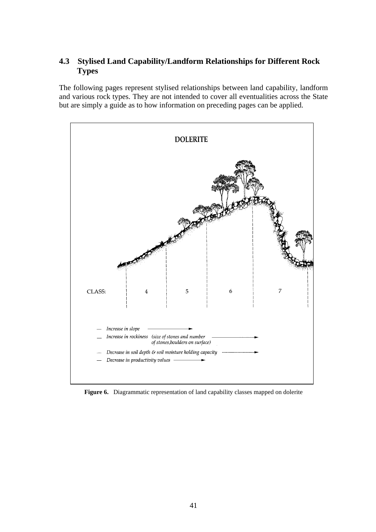### **4.3 Stylised Land Capability/Landform Relationships for Different Rock Types**

The following pages represent stylised relationships between land capability, landform and various rock types. They are not intended to cover all eventualities across the State but are simply a guide as to how information on preceding pages can be applied.



**Figure 6.** Diagrammatic representation of land capability classes mapped on dolerite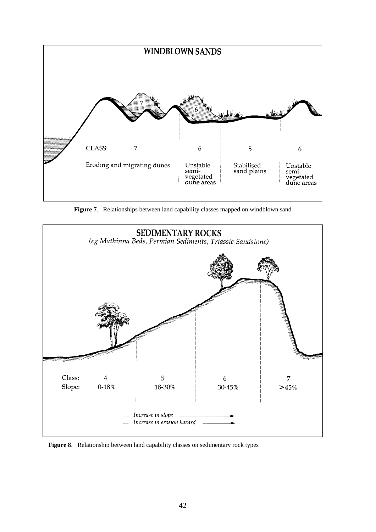

**Figure 7**. Relationships between land capability classes mapped on windblown sand



**Figure 8**. Relationship between land capability classes on sedimentary rock types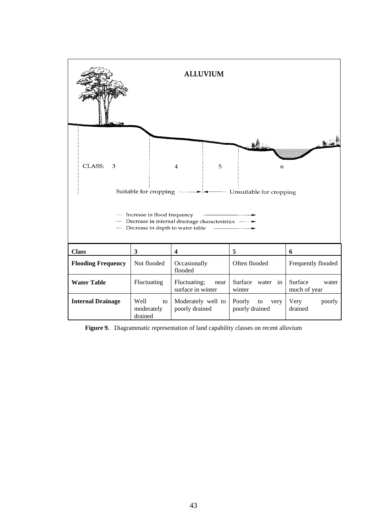

**Figure 9.** Diagrammatic representation of land capability classes on recent alluvium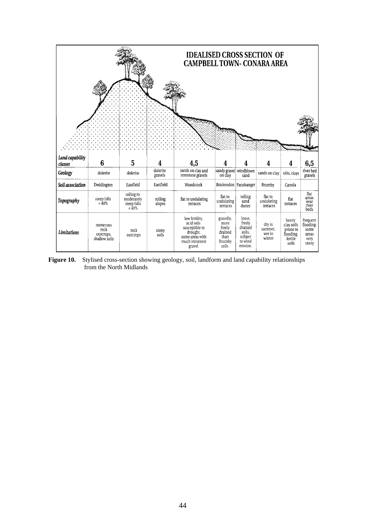

Figure 10. Stylised cross-section showing geology, soil, landform and land capability relationships from the North Midlands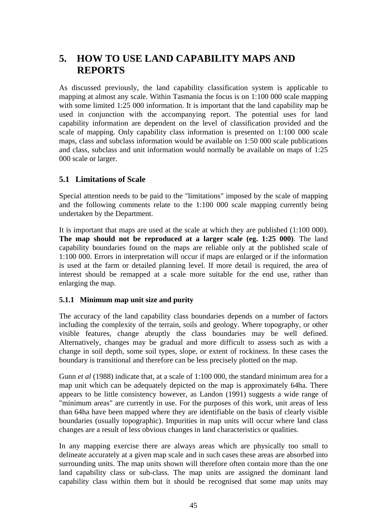## **5. HOW TO USE LAND CAPABILITY MAPS AND REPORTS**

As discussed previously, the land capability classification system is applicable to mapping at almost any scale. Within Tasmania the focus is on 1:100 000 scale mapping with some limited 1:25 000 information. It is important that the land capability map be used in conjunction with the accompanying report. The potential uses for land capability information are dependent on the level of classification provided and the scale of mapping. Only capability class information is presented on 1:100 000 scale maps, class and subclass information would be available on 1:50 000 scale publications and class, subclass and unit information would normally be available on maps of 1:25 000 scale or larger.

### **5.1 Limitations of Scale**

Special attention needs to be paid to the "limitations" imposed by the scale of mapping and the following comments relate to the 1:100 000 scale mapping currently being undertaken by the Department.

It is important that maps are used at the scale at which they are published (1:100 000). **The map should not be reproduced at a larger scale (eg. 1:25 000)**. The land capability boundaries found on the maps are reliable only at the published scale of 1:100 000. Errors in interpretation will occur if maps are enlarged or if the information is used at the farm or detailed planning level. If more detail is required, the area of interest should be remapped at a scale more suitable for the end use, rather than enlarging the map.

#### **5.1.1 Minimum map unit size and purity**

The accuracy of the land capability class boundaries depends on a number of factors including the complexity of the terrain, soils and geology. Where topography, or other visible features, change abruptly the class boundaries may be well defined. Alternatively, changes may be gradual and more difficult to assess such as with a change in soil depth, some soil types, slope, or extent of rockiness. In these cases the boundary is transitional and therefore can be less precisely plotted on the map.

Gunn *et al* (1988) indicate that, at a scale of 1:100 000, the standard minimum area for a map unit which can be adequately depicted on the map is approximately 64ha. There appears to be little consistency however, as Landon (1991) suggests a wide range of "minimum areas" are currently in use. For the purposes of this work, unit areas of less than 64ha have been mapped where they are identifiable on the basis of clearly visible boundaries (usually topographic). Impurities in map units will occur where land class changes are a result of less obvious changes in land characteristics or qualities.

In any mapping exercise there are always areas which are physically too small to delineate accurately at a given map scale and in such cases these areas are absorbed into surrounding units. The map units shown will therefore often contain more than the one land capability class or sub-class. The map units are assigned the dominant land capability class within them but it should be recognised that some map units may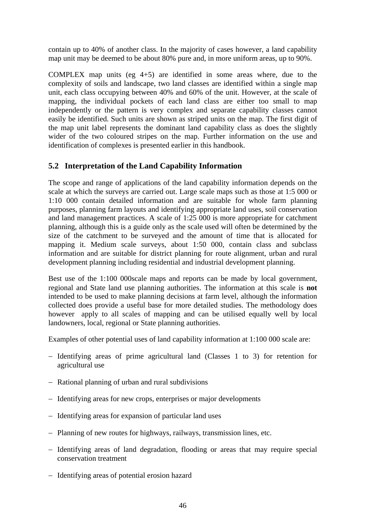contain up to 40% of another class. In the majority of cases however, a land capability map unit may be deemed to be about 80% pure and, in more uniform areas, up to 90%.

COMPLEX map units (eg 4+5) are identified in some areas where, due to the complexity of soils and landscape, two land classes are identified within a single map unit, each class occupying between 40% and 60% of the unit. However, at the scale of mapping, the individual pockets of each land class are either too small to map independently or the pattern is very complex and separate capability classes cannot easily be identified. Such units are shown as striped units on the map. The first digit of the map unit label represents the dominant land capability class as does the slightly wider of the two coloured stripes on the map. Further information on the use and identification of complexes is presented earlier in this handbook.

### **5.2 Interpretation of the Land Capability Information**

The scope and range of applications of the land capability information depends on the scale at which the surveys are carried out. Large scale maps such as those at 1:5 000 or 1:10 000 contain detailed information and are suitable for whole farm planning purposes, planning farm layouts and identifying appropriate land uses, soil conservation and land management practices. A scale of 1:25 000 is more appropriate for catchment planning, although this is a guide only as the scale used will often be determined by the size of the catchment to be surveyed and the amount of time that is allocated for mapping it. Medium scale surveys, about 1:50 000, contain class and subclass information and are suitable for district planning for route alignment, urban and rural development planning including residential and industrial development planning.

Best use of the 1:100 000scale maps and reports can be made by local government, regional and State land use planning authorities. The information at this scale is **not** intended to be used to make planning decisions at farm level, although the information collected does provide a useful base for more detailed studies. The methodology does however apply to all scales of mapping and can be utilised equally well by local landowners, local, regional or State planning authorities.

Examples of other potential uses of land capability information at 1:100 000 scale are:

- − Identifying areas of prime agricultural land (Classes 1 to 3) for retention for agricultural use
- − Rational planning of urban and rural subdivisions
- − Identifying areas for new crops, enterprises or major developments
- − Identifying areas for expansion of particular land uses
- − Planning of new routes for highways, railways, transmission lines, etc.
- − Identifying areas of land degradation, flooding or areas that may require special conservation treatment
- − Identifying areas of potential erosion hazard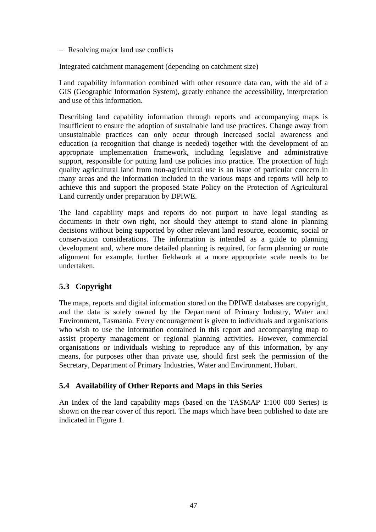− Resolving major land use conflicts

Integrated catchment management (depending on catchment size)

Land capability information combined with other resource data can, with the aid of a GIS (Geographic Information System), greatly enhance the accessibility, interpretation and use of this information.

Describing land capability information through reports and accompanying maps is insufficient to ensure the adoption of sustainable land use practices. Change away from unsustainable practices can only occur through increased social awareness and education (a recognition that change is needed) together with the development of an appropriate implementation framework, including legislative and administrative support, responsible for putting land use policies into practice. The protection of high quality agricultural land from non-agricultural use is an issue of particular concern in many areas and the information included in the various maps and reports will help to achieve this and support the proposed State Policy on the Protection of Agricultural Land currently under preparation by DPIWE.

The land capability maps and reports do not purport to have legal standing as documents in their own right, nor should they attempt to stand alone in planning decisions without being supported by other relevant land resource, economic, social or conservation considerations. The information is intended as a guide to planning development and, where more detailed planning is required, for farm planning or route alignment for example, further fieldwork at a more appropriate scale needs to be undertaken.

## **5.3 Copyright**

The maps, reports and digital information stored on the DPIWE databases are copyright, and the data is solely owned by the Department of Primary Industry, Water and Environment, Tasmania. Every encouragement is given to individuals and organisations who wish to use the information contained in this report and accompanying map to assist property management or regional planning activities. However, commercial organisations or individuals wishing to reproduce any of this information, by any means, for purposes other than private use, should first seek the permission of the Secretary, Department of Primary Industries, Water and Environment, Hobart.

### **5.4 Availability of Other Reports and Maps in this Series**

An Index of the land capability maps (based on the TASMAP 1:100 000 Series) is shown on the rear cover of this report. The maps which have been published to date are indicated in Figure 1.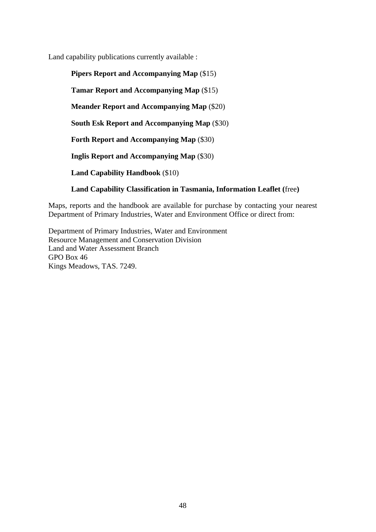Land capability publications currently available :

**Pipers Report and Accompanying Map** (\$15) **Tamar Report and Accompanying Map** (\$15) **Meander Report and Accompanying Map** (\$20) **South Esk Report and Accompanying Map** (\$30) **Forth Report and Accompanying Map** (\$30) **Inglis Report and Accompanying Map** (\$30) **Land Capability Handbook** (\$10) **Land Capability Classification in Tasmania, Information Leaflet (**free**)**

Maps, reports and the handbook are available for purchase by contacting your nearest Department of Primary Industries, Water and Environment Office or direct from:

Department of Primary Industries, Water and Environment Resource Management and Conservation Division Land and Water Assessment Branch GPO Box 46 Kings Meadows, TAS. 7249.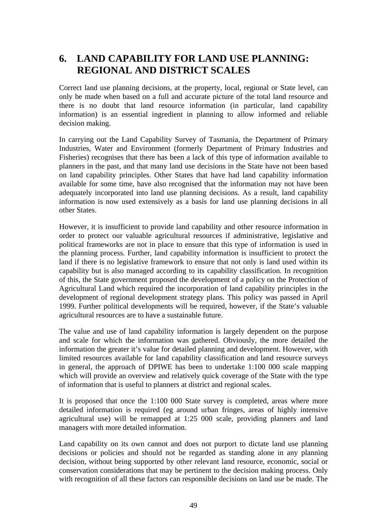## **6. LAND CAPABILITY FOR LAND USE PLANNING: REGIONAL AND DISTRICT SCALES**

Correct land use planning decisions, at the property, local, regional or State level, can only be made when based on a full and accurate picture of the total land resource and there is no doubt that land resource information (in particular, land capability information) is an essential ingredient in planning to allow informed and reliable decision making.

In carrying out the Land Capability Survey of Tasmania, the Department of Primary Industries, Water and Environment (formerly Department of Primary Industries and Fisheries) recognises that there has been a lack of this type of information available to planners in the past, and that many land use decisions in the State have not been based on land capability principles. Other States that have had land capability information available for some time, have also recognised that the information may not have been adequately incorporated into land use planning decisions. As a result, land capability information is now used extensively as a basis for land use planning decisions in all other States.

However, it is insufficient to provide land capability and other resource information in order to protect our valuable agricultural resources if administrative, legislative and political frameworks are not in place to ensure that this type of information is used in the planning process. Further, land capability information is insufficient to protect the land if there is no legislative framework to ensure that not only is land used within its capability but is also managed according to its capability classification. In recognition of this, the State government proposed the development of a policy on the Protection of Agricultural Land which required the incorporation of land capability principles in the development of regional development strategy plans. This policy was passed in April 1999. Further political developments will be required, however, if the State's valuable agricultural resources are to have a sustainable future.

The value and use of land capability information is largely dependent on the purpose and scale for which the information was gathered. Obviously, the more detailed the information the greater it's value for detailed planning and development. However, with limited resources available for land capability classification and land resource surveys in general, the approach of DPIWE has been to undertake 1:100 000 scale mapping which will provide an overview and relatively quick coverage of the State with the type of information that is useful to planners at district and regional scales.

It is proposed that once the 1:100 000 State survey is completed, areas where more detailed information is required (eg around urban fringes, areas of highly intensive agricultural use) will be remapped at 1:25 000 scale, providing planners and land managers with more detailed information.

Land capability on its own cannot and does not purport to dictate land use planning decisions or policies and should not be regarded as standing alone in any planning decision, without being supported by other relevant land resource, economic, social or conservation considerations that may be pertinent to the decision making process. Only with recognition of all these factors can responsible decisions on land use be made. The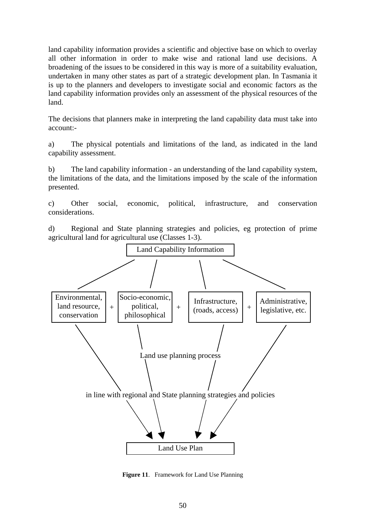land capability information provides a scientific and objective base on which to overlay all other information in order to make wise and rational land use decisions. A broadening of the issues to be considered in this way is more of a suitability evaluation, undertaken in many other states as part of a strategic development plan. In Tasmania it is up to the planners and developers to investigate social and economic factors as the land capability information provides only an assessment of the physical resources of the land.

The decisions that planners make in interpreting the land capability data must take into account:-

a) The physical potentials and limitations of the land, as indicated in the land capability assessment.

b) The land capability information - an understanding of the land capability system, the limitations of the data, and the limitations imposed by the scale of the information presented.

c) Other social, economic, political, infrastructure, and conservation considerations.

d) Regional and State planning strategies and policies, eg protection of prime agricultural land for agricultural use (Classes 1-3).



**Figure 11**. Framework for Land Use Planning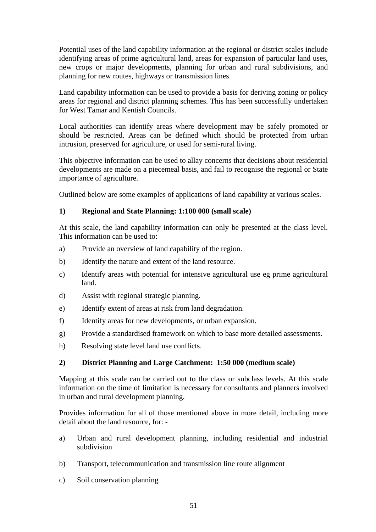Potential uses of the land capability information at the regional or district scales include identifying areas of prime agricultural land, areas for expansion of particular land uses, new crops or major developments, planning for urban and rural subdivisions, and planning for new routes, highways or transmission lines.

Land capability information can be used to provide a basis for deriving zoning or policy areas for regional and district planning schemes. This has been successfully undertaken for West Tamar and Kentish Councils.

Local authorities can identify areas where development may be safely promoted or should be restricted. Areas can be defined which should be protected from urban intrusion, preserved for agriculture, or used for semi-rural living.

This objective information can be used to allay concerns that decisions about residential developments are made on a piecemeal basis, and fail to recognise the regional or State importance of agriculture.

Outlined below are some examples of applications of land capability at various scales.

#### **1) Regional and State Planning: 1:100 000 (small scale)**

At this scale, the land capability information can only be presented at the class level. This information can be used to:

- a) Provide an overview of land capability of the region.
- b) Identify the nature and extent of the land resource.
- c) Identify areas with potential for intensive agricultural use eg prime agricultural land.
- d) Assist with regional strategic planning.
- e) Identify extent of areas at risk from land degradation.
- f) Identify areas for new developments, or urban expansion.
- g) Provide a standardised framework on which to base more detailed assessments.
- h) Resolving state level land use conflicts.

#### **2) District Planning and Large Catchment: 1:50 000 (medium scale)**

Mapping at this scale can be carried out to the class or subclass levels. At this scale information on the time of limitation is necessary for consultants and planners involved in urban and rural development planning.

Provides information for all of those mentioned above in more detail, including more detail about the land resource, for: -

- a) Urban and rural development planning, including residential and industrial subdivision
- b) Transport, telecommunication and transmission line route alignment
- c) Soil conservation planning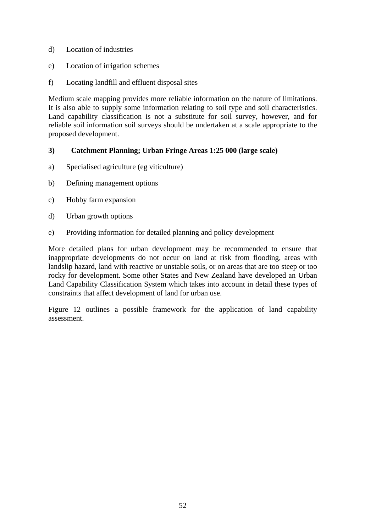- d) Location of industries
- e) Location of irrigation schemes
- f) Locating landfill and effluent disposal sites

Medium scale mapping provides more reliable information on the nature of limitations. It is also able to supply some information relating to soil type and soil characteristics. Land capability classification is not a substitute for soil survey, however, and for reliable soil information soil surveys should be undertaken at a scale appropriate to the proposed development.

#### **3) Catchment Planning; Urban Fringe Areas 1:25 000 (large scale)**

- a) Specialised agriculture (eg viticulture)
- b) Defining management options
- c) Hobby farm expansion
- d) Urban growth options
- e) Providing information for detailed planning and policy development

More detailed plans for urban development may be recommended to ensure that inappropriate developments do not occur on land at risk from flooding, areas with landslip hazard, land with reactive or unstable soils, or on areas that are too steep or too rocky for development. Some other States and New Zealand have developed an Urban Land Capability Classification System which takes into account in detail these types of constraints that affect development of land for urban use.

Figure 12 outlines a possible framework for the application of land capability assessment.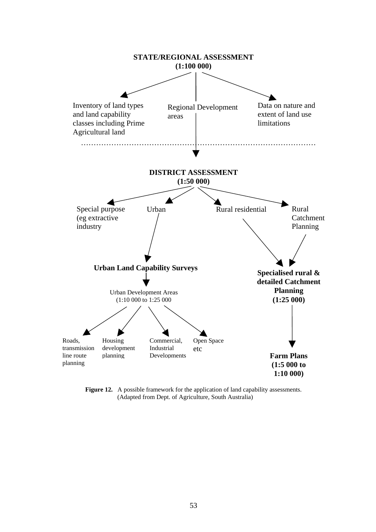

**Figure 12.** A possible framework for the application of land capability assessments. (Adapted from Dept. of Agriculture, South Australia)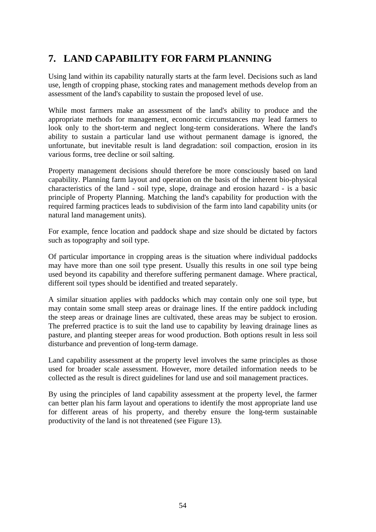# **7. LAND CAPABILITY FOR FARM PLANNING**

Using land within its capability naturally starts at the farm level. Decisions such as land use, length of cropping phase, stocking rates and management methods develop from an assessment of the land's capability to sustain the proposed level of use.

While most farmers make an assessment of the land's ability to produce and the appropriate methods for management, economic circumstances may lead farmers to look only to the short-term and neglect long-term considerations. Where the land's ability to sustain a particular land use without permanent damage is ignored, the unfortunate, but inevitable result is land degradation: soil compaction, erosion in its various forms, tree decline or soil salting.

Property management decisions should therefore be more consciously based on land capability. Planning farm layout and operation on the basis of the inherent bio-physical characteristics of the land - soil type, slope, drainage and erosion hazard - is a basic principle of Property Planning. Matching the land's capability for production with the required farming practices leads to subdivision of the farm into land capability units (or natural land management units).

For example, fence location and paddock shape and size should be dictated by factors such as topography and soil type.

Of particular importance in cropping areas is the situation where individual paddocks may have more than one soil type present. Usually this results in one soil type being used beyond its capability and therefore suffering permanent damage. Where practical, different soil types should be identified and treated separately.

A similar situation applies with paddocks which may contain only one soil type, but may contain some small steep areas or drainage lines. If the entire paddock including the steep areas or drainage lines are cultivated, these areas may be subject to erosion. The preferred practice is to suit the land use to capability by leaving drainage lines as pasture, and planting steeper areas for wood production. Both options result in less soil disturbance and prevention of long-term damage.

Land capability assessment at the property level involves the same principles as those used for broader scale assessment. However, more detailed information needs to be collected as the result is direct guidelines for land use and soil management practices.

By using the principles of land capability assessment at the property level, the farmer can better plan his farm layout and operations to identify the most appropriate land use for different areas of his property, and thereby ensure the long-term sustainable productivity of the land is not threatened (see Figure 13).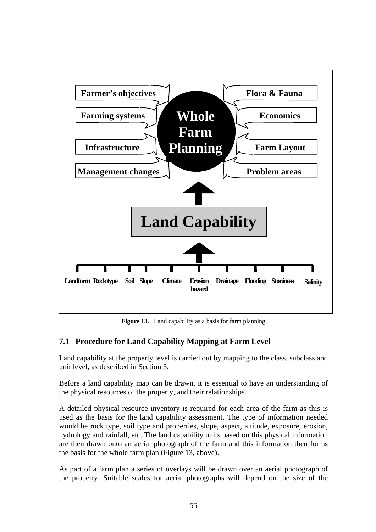

**Figure 13**. Land capability as a basis for farm planning

## **7.1 Procedure for Land Capability Mapping at Farm Level**

Land capability at the property level is carried out by mapping to the class, subclass and unit level, as described in Section 3.

Before a land capability map can be drawn, it is essential to have an understanding of the physical resources of the property, and their relationships.

A detailed physical resource inventory is required for each area of the farm as this is used as the basis for the land capability assessment. The type of information needed would be rock type, soil type and properties, slope, aspect, altitude, exposure, erosion, hydrology and rainfall, etc. The land capability units based on this physical information are then drawn onto an aerial photograph of the farm and this information then forms the basis for the whole farm plan (Figure 13, above).

As part of a farm plan a series of overlays will be drawn over an aerial photograph of the property. Suitable scales for aerial photographs will depend on the size of the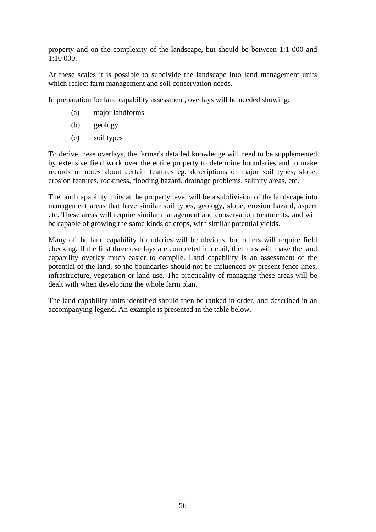property and on the complexity of the landscape, but should be between 1:1 000 and 1:10 000.

At these scales it is possible to subdivide the landscape into land management units which reflect farm management and soil conservation needs.

In preparation for land capability assessment, overlays will be needed showing:

- (a) major landforms
- (b) geology
- (c) soil types

To derive these overlays, the farmer's detailed knowledge will need to be supplemented by extensive field work over the entire property to determine boundaries and to make records or notes about certain features eg. descriptions of major soil types, slope, erosion features, rockiness, flooding hazard, drainage problems, salinity areas, etc.

The land capability units at the property level will be a subdivision of the landscape into management areas that have similar soil types, geology, slope, erosion hazard, aspect etc. These areas will require similar management and conservation treatments, and will be capable of growing the same kinds of crops, with similar potential yields.

Many of the land capability boundaries will be obvious, but others will require field checking. If the first three overlays are completed in detail, then this will make the land capability overlay much easier to compile. Land capability is an assessment of the potential of the land, so the boundaries should not be influenced by present fence lines, infrastructure, vegetation or land use. The practicality of managing these areas will be dealt with when developing the whole farm plan.

The land capability units identified should then be ranked in order, and described in an accompanying legend. An example is presented in the table below.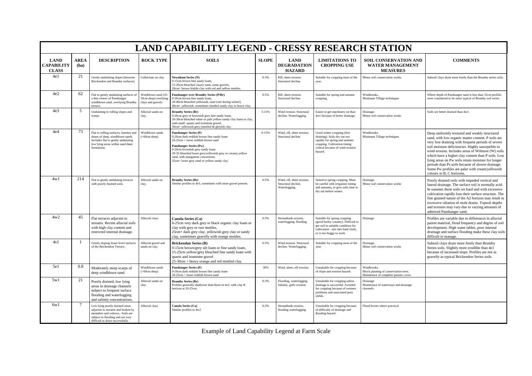|                                           |                     |                                                                                                                                                                              |                                                                  | <b>LAND CAPABILITY LEGEND - CRESSY RESEARCH STATION</b>                                                                                                                                                                                                                                                                       |              |                                                                    |                                                                                                                                                                              |                                                                                               |                                                                                                                                                                                                                                                                                                                                                                                                                                                                                                                      |
|-------------------------------------------|---------------------|------------------------------------------------------------------------------------------------------------------------------------------------------------------------------|------------------------------------------------------------------|-------------------------------------------------------------------------------------------------------------------------------------------------------------------------------------------------------------------------------------------------------------------------------------------------------------------------------|--------------|--------------------------------------------------------------------|------------------------------------------------------------------------------------------------------------------------------------------------------------------------------|-----------------------------------------------------------------------------------------------|----------------------------------------------------------------------------------------------------------------------------------------------------------------------------------------------------------------------------------------------------------------------------------------------------------------------------------------------------------------------------------------------------------------------------------------------------------------------------------------------------------------------|
| <b>LAND</b><br>CAPABILITY<br><b>CLASS</b> | <b>AREA</b><br>(ha) | <b>DESCRIPTION</b>                                                                                                                                                           | <b>ROCK TYPE</b>                                                 | <b>SOILS</b>                                                                                                                                                                                                                                                                                                                  | <b>SLOPE</b> | <b>LAND</b><br><b>DEGRADATION</b><br><b>HAZARD</b>                 | <b>LIMITATIONS TO</b><br><b>CROPPING USE</b>                                                                                                                                 | <b>SOIL CONSERVATION AND</b><br><b>WATER MANAGEMENT</b><br><b>MEASURES</b>                    | <b>COMMENTS</b>                                                                                                                                                                                                                                                                                                                                                                                                                                                                                                      |
| 4e1                                       | 21                  | Gently undulating slopes (between<br>Brickendon and Brumby surfaces)                                                                                                         | Colluvium on clay                                                | Newnham Series (N)<br>0-15cm brown fine sandy loam.<br>15-20cm bleached clayey sand, some gravels,<br>20cm+ brown friable clav with red and vellow mottles.                                                                                                                                                                   | $0 - 3%$     | Rill, sheet erosion.<br>Structural decline.                        | Suitable for cropping most of the<br>year.                                                                                                                                   | Minor soil conservation works.                                                                | Subsoil clays drain more freely than the Brumby series soils.                                                                                                                                                                                                                                                                                                                                                                                                                                                        |
| 4e2                                       | 62                  | Flat to gently undulating surfaces<br>a thin veneer of Panshanger<br>windblown sand, overlying Brumby<br>terrace,                                                            | Windblown sand (35<br>50cm deep) overlying<br>clays and gravels. | Panshanger over Brumby Series (P/Br)<br>0-20cm brown fine sandy loam,<br>20-40cm bleached yellowish, sand (wet during winter),<br>40cm+ yellowish, sometimes mottled sandy clay to heavy clay                                                                                                                                 | $0 - 5%$     | Rill, sheet erosion.<br>Structural decline.                        | Suitable for spring and autumn<br>cropping.                                                                                                                                  | Windbreaks.<br>Minimum Tillage techniques                                                     | Where depth of Panshanger sand is less than 35cm profiles<br>were considered to be more typical of Brumby soil series.                                                                                                                                                                                                                                                                                                                                                                                               |
| 4e <sub>3</sub>                           | 5                   | Undulating to rolling slopes and<br>scarps.                                                                                                                                  | Alluvial sands on<br>clay.                                       | <b>Brumby Series (Br)</b><br>0-20cm grey or brownish grey fine sandy loam,<br>20-30cm bleached white or pale yellow sandy clay loam or clay,<br>with small quartz and ironstone gravel,<br>30cm+ vellowish grev (mottled & gleved) clay.                                                                                      | 5-15%        | Wind erosion. Structural<br>decline. Waterlogging.                 | Easier to get machinery on than<br>4w1 because of better drainage.                                                                                                           | Drainage.<br>Minor soil conservation works                                                    | Soils are better drained than 4w1.                                                                                                                                                                                                                                                                                                                                                                                                                                                                                   |
| 4e4                                       | 73                  | Flat to rolling surfaces, lunettes and<br>dunes of deep, windblown sands.<br>Includes flat to gently undulating<br>low lying areas within sand dune<br>formations.           | Windblown sands<br>$( > 60cm$ deep)                              | <b>Panshanger Series (P)</b><br>0-20cm dark reddish brown fine sandy loam<br>20-25cm + loose reddish brown sand<br>Panshanger Series (Pw)<br>0-20cm brownish grey sandy loam<br>20-35 bleached loose grey/yellowish grey or creamy yellow<br>sand, with manganese concretions,<br>35cm+ loose grey sand or yellow sandy clay. | $0 - 15%$    | Wind, rill, sheet erosion.<br>Structural decline.                  | Good winter cropping (free<br>draining). Soils dry out too<br>rapidly for spring and summer<br>cropping. Cultivation timing<br>critical because of wind erosion<br>hazard.   | Windbreaks.<br>Minimum Tillage techniques                                                     | Deep uniformly textured and weakly structured<br>sand, with low organic matter content. P soils are<br>very free draining with frequent periods of severe<br>soil moisture deficiencies. Highly susceptible to<br>wind erosion. Includes areas of Wilmore (W) soils<br>which have a higher clay content than P soils. Low<br>lying areas on Pw soils retain moisture for longer<br>periods than Ps soils because of slower drainage.<br>Some Pw profiles are paler with cream/yellowish<br>colours in B, C horizons. |
| 4w1                                       | 214                 | Flat to gently undulating terraces<br>with poorly drained soils.                                                                                                             | Alluvial sands on<br>clay.                                       | <b>Brumby Series (Br)</b><br>Similar profiles to 4e3, sometimes with more gravel present.                                                                                                                                                                                                                                     | $0 - 5%$     | Wind, rill, sheet erosion.<br>Structural decline.<br>Waterlogging. | Suited to spring cropping. Must<br>be careful with irrigation timing<br>and amounts, to give soils time to<br>dry out before winter.                                         | Drainage.<br>Minor soil conservation works                                                    | Poorly drained soils with impeded vertical and<br>lateral drainage. The surface soil is normally acid.<br>In summer these soils set hard and with excessive<br>cultivation rapidly lose their surface structure. The<br>fine grained nature of the A2 horizon may result in<br>excessive siltation of mole drains. Topsoil depths<br>and textures may vary due to varying amounts of<br>admixed Panshanger sand.                                                                                                     |
| 4w2                                       | 45                  | Flat terraces adjacent to<br>streams. Recent alluvial soils<br>with high clay content and<br>restricted internal drainage.                                                   | Alluvial clays.                                                  | <b>Canola Series (Ca)</b><br>0-25cm very dark grey or black organic clay loam or<br>clay with grey or rust mottles,<br>25cm+ dark grey clay, yellowish grey clay or sandy<br>clay, sometimes gravelly with orange mottles.                                                                                                    | $0 - 3%$     | Streambank erosion,<br>waterlogging, flooding.                     | Suitable for spring cropping<br>(good barley country). Difficult to<br>get soil in suitable condition for<br>cultivation - sets into hard clods,<br>or is too boggy to work. | Drainage                                                                                      | Profiles are variable due to differences in alluvial<br>parent material, flood frequency and degree of soil<br>development. High water tables, poor internal<br>drainage and surface flooding make these clay soils<br>difficult to manage.                                                                                                                                                                                                                                                                          |
| 4s1                                       |                     | Gently sloping lower level surfaces<br>of the Brickendon Terrace.                                                                                                            | Alluvial gravel and<br>sands on clay.                            | <b>Brickendon Series (B)</b><br>0-15cm brown/grey silt loam or fine sandy loam,<br>15-25cm yellow/grey bleached fine sandy loam with<br>quartz and ironstone gravel<br>25-30cm + heavy orange and red mottled clay.                                                                                                           | $0 - 5%$     | Wind erosion. Structural<br>decline. Waterlogging.                 | Suitable for cropping most of the<br>year.                                                                                                                                   | Drainage.<br>Minor soil conservation works                                                    | Subsoil clays drain more freely than Brumby<br>Series soils. Slightly more erodible than 4e1<br>because of increased slope. Profiles are not as<br>gravelly as typical Brickendon Series soils.                                                                                                                                                                                                                                                                                                                      |
| 5e1                                       | 0.8                 | Moderately steep scarps of<br>deep windblown sand.                                                                                                                           | Windblown sands<br>$( > 60cm$ deep)                              | <b>Panshanger Series (P)</b><br>0-20cm dark reddish brown fine sandy loam<br>20-25cm + loose reddish brown sand                                                                                                                                                                                                               | 30%          | Wind, sheet, rill erosion.                                         | Unsuitable for cropping because<br>of slope and erosion hazard.                                                                                                              | Windbreaks.<br>Block planting of conservation trees.<br>Maintenace of complete pasture cover. |                                                                                                                                                                                                                                                                                                                                                                                                                                                                                                                      |
| 5w1                                       | 21                  | Poorly drained, low lying<br>areas in drainage channels<br>subject to frequent surface<br>flooding and waterlogging<br>and salinity concentrations.                          | Alluvial sands on<br>clav.                                       | <b>Brumby Series (Br)</b><br>Profiles generally shallower than those in 4e3, with clay B<br>horizon at 20-25cm.                                                                                                                                                                                                               | $0 - 3%$     | Flooding, waterlogging.<br>Salinity, gully erosion.                | Unsuitable for cropping unless<br>drainage is successful. Avoided<br>for cropping because of wetness<br>problems and associated poor<br>vields.                              | Drainage<br>Maintenace of waterways and drainage<br>channels.                                 |                                                                                                                                                                                                                                                                                                                                                                                                                                                                                                                      |
| 6w1                                       | -7                  | Low lying poorly drained areas<br>adjacent to streams and broken by<br>meanders and oxbows Soils are<br>subject to flooding and are very<br>difficult to drain successfully. | Alluvial clays                                                   | Canola Series (Ca)<br>Similar profiles to 4w2                                                                                                                                                                                                                                                                                 | $0 - 3%$     | Streambank erosion,<br>flooding waterlogging.                      | Unsuitable for cropping because<br>of difficulty of drainage and<br>flooding hazard.                                                                                         | Flood levees where practical                                                                  |                                                                                                                                                                                                                                                                                                                                                                                                                                                                                                                      |

Example of Land Capability Legend at Farm Scale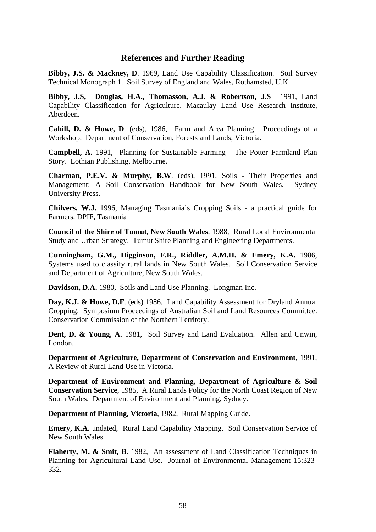#### **References and Further Reading**

**Bibby, J.S. & Mackney, D**. 1969, Land Use Capability Classification. Soil Survey Technical Monograph 1. Soil Survey of England and Wales, Rothamsted, U.K.

**Bibby, J.S, Douglas, H.A., Thomasson, A.J. & Robertson, J.S** 1991, Land Capability Classification for Agriculture. Macaulay Land Use Research Institute, Aberdeen.

**Cahill, D. & Howe, D**. (eds), 1986, Farm and Area Planning. Proceedings of a Workshop. Department of Conservation, Forests and Lands, Victoria.

**Campbell, A.** 1991, Planning for Sustainable Farming - The Potter Farmland Plan Story. Lothian Publishing, Melbourne.

**Charman, P.E.V. & Murphy, B.W**. (eds), 1991, Soils - Their Properties and Management: A Soil Conservation Handbook for New South Wales. Sydney University Press.

**Chilvers, W.J.** 1996, Managing Tasmania's Cropping Soils - a practical guide for Farmers. DPIF, Tasmania

**Council of the Shire of Tumut, New South Wales**, 1988, Rural Local Environmental Study and Urban Strategy. Tumut Shire Planning and Engineering Departments.

**Cunningham, G.M., Higginson, F.R., Riddler, A.M.H. & Emery, K.A.** 1986, Systems used to classify rural lands in New South Wales. Soil Conservation Service and Department of Agriculture, New South Wales.

**Davidson, D.A.** 1980, Soils and Land Use Planning. Longman Inc.

**Day, K.J. & Howe, D.F**. (eds) 1986, Land Capability Assessment for Dryland Annual Cropping. Symposium Proceedings of Australian Soil and Land Resources Committee. Conservation Commission of the Northern Territory.

**Dent, D. & Young, A.** 1981, Soil Survey and Land Evaluation. Allen and Unwin, London.

**Department of Agriculture, Department of Conservation and Environment**, 1991, A Review of Rural Land Use in Victoria.

**Department of Environment and Planning, Department of Agriculture & Soil Conservation Service**, 1985, A Rural Lands Policy for the North Coast Region of New South Wales. Department of Environment and Planning, Sydney.

**Department of Planning, Victoria**, 1982, Rural Mapping Guide.

**Emery, K.A.** undated, Rural Land Capability Mapping. Soil Conservation Service of New South Wales.

**Flaherty, M. & Smit, B**. 1982, An assessment of Land Classification Techniques in Planning for Agricultural Land Use. Journal of Environmental Management 15:323- 332.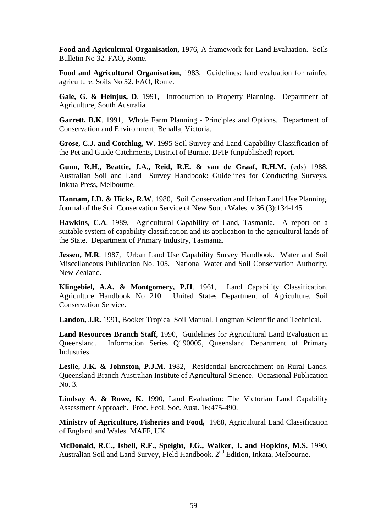**Food and Agricultural Organisation,** 1976, A framework for Land Evaluation. Soils Bulletin No 32. FAO, Rome.

**Food and Agricultural Organisation**, 1983, Guidelines: land evaluation for rainfed agriculture. Soils No 52. FAO, Rome.

Gale, G. & Heinjus, D. 1991, Introduction to Property Planning. Department of Agriculture, South Australia.

**Garrett, B.K**. 1991, Whole Farm Planning - Principles and Options. Department of Conservation and Environment, Benalla, Victoria.

**Grose, C.J. and Cotching, W.** 1995 Soil Survey and Land Capability Classification of the Pet and Guide Catchments, District of Burnie. DPIF (unpublished) report.

**Gunn, R.H., Beattie, J.A., Reid, R.E. & van de Graaf, R.H.M.** (eds) 1988, Australian Soil and Land Survey Handbook: Guidelines for Conducting Surveys. Inkata Press, Melbourne.

**Hannam, I.D. & Hicks, R.W**. 1980, Soil Conservation and Urban Land Use Planning. Journal of the Soil Conservation Service of New South Wales, v 36 (3):134-145.

**Hawkins, C.A**. 1989, Agricultural Capability of Land, Tasmania. A report on a suitable system of capability classification and its application to the agricultural lands of the State. Department of Primary Industry, Tasmania.

**Jessen, M.R.** 1987, Urban Land Use Capability Survey Handbook. Water and Soil Miscellaneous Publication No. 105. National Water and Soil Conservation Authority, New Zealand.

**Klingebiel, A.A. & Montgomery, P.H**. 1961, Land Capability Classification. Agriculture Handbook No 210. United States Department of Agriculture, Soil Conservation Service.

**Landon, J.R.** 1991, Booker Tropical Soil Manual. Longman Scientific and Technical.

**Land Resources Branch Staff,** 1990, Guidelines for Agricultural Land Evaluation in Queensland. Information Series Q190005, Queensland Department of Primary Industries.

**Leslie, J.K. & Johnston, P.J.M**. 1982, Residential Encroachment on Rural Lands. Queensland Branch Australian Institute of Agricultural Science. Occasional Publication No. 3.

**Lindsay A. & Rowe, K**. 1990, Land Evaluation: The Victorian Land Capability Assessment Approach. Proc. Ecol. Soc. Aust. 16:475-490.

**Ministry of Agriculture, Fisheries and Food,** 1988, Agricultural Land Classification of England and Wales. MAFF, UK

**McDonald, R.C., Isbell, R.F., Speight, J.G., Walker, J. and Hopkins, M.S.** 1990, Australian Soil and Land Survey, Field Handbook. 2<sup>nd</sup> Edition, Inkata, Melbourne.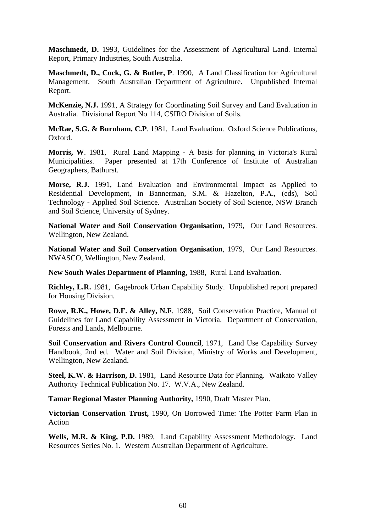**Maschmedt, D.** 1993, Guidelines for the Assessment of Agricultural Land. Internal Report, Primary Industries, South Australia.

**Maschmedt, D., Cock, G. & Butler, P**. 1990, A Land Classification for Agricultural Management. South Australian Department of Agriculture. Unpublished Internal Report.

**McKenzie, N.J.** 1991, A Strategy for Coordinating Soil Survey and Land Evaluation in Australia. Divisional Report No 114, CSIRO Division of Soils.

**McRae, S.G. & Burnham, C.P**. 1981, Land Evaluation. Oxford Science Publications, Oxford.

**Morris, W**. 1981, Rural Land Mapping - A basis for planning in Victoria's Rural Municipalities. Paper presented at 17th Conference of Institute of Australian Geographers, Bathurst.

**Morse, R.J.** 1991, Land Evaluation and Environmental Impact as Applied to Residential Development, in Bannerman, S.M. & Hazelton, P.A., (eds), Soil Technology - Applied Soil Science. Australian Society of Soil Science, NSW Branch and Soil Science, University of Sydney.

**National Water and Soil Conservation Organisation**, 1979, Our Land Resources. Wellington, New Zealand.

**National Water and Soil Conservation Organisation**, 1979, Our Land Resources. NWASCO, Wellington, New Zealand.

**New South Wales Department of Planning**, 1988, Rural Land Evaluation.

**Richley, L.R.** 1981, Gagebrook Urban Capability Study. Unpublished report prepared for Housing Division.

**Rowe, R.K., Howe, D.F. & Alley, N.F**. 1988, Soil Conservation Practice, Manual of Guidelines for Land Capability Assessment in Victoria. Department of Conservation, Forests and Lands, Melbourne.

**Soil Conservation and Rivers Control Council, 1971, Land Use Capability Survey** Handbook, 2nd ed. Water and Soil Division, Ministry of Works and Development, Wellington, New Zealand.

**Steel, K.W. & Harrison, D.** 1981, Land Resource Data for Planning. Waikato Valley Authority Technical Publication No. 17. W.V.A., New Zealand.

**Tamar Regional Master Planning Authority,** 1990, Draft Master Plan.

**Victorian Conservation Trust,** 1990, On Borrowed Time: The Potter Farm Plan in Action

**Wells, M.R. & King, P.D.** 1989, Land Capability Assessment Methodology. Land Resources Series No. 1. Western Australian Department of Agriculture.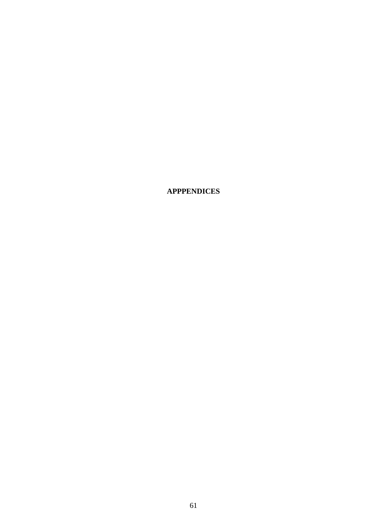**APPPENDICES**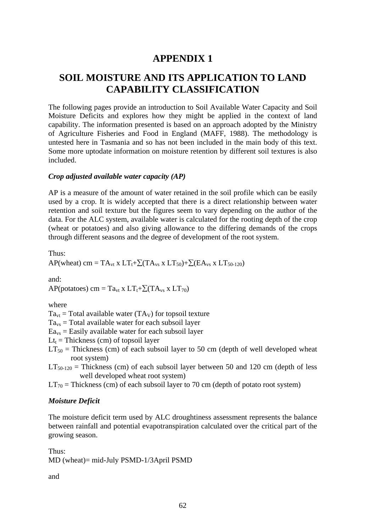## **APPENDIX 1**

## **SOIL MOISTURE AND ITS APPLICATION TO LAND CAPABILITY CLASSIFICATION**

The following pages provide an introduction to Soil Available Water Capacity and Soil Moisture Deficits and explores how they might be applied in the context of land capability. The information presented is based on an approach adopted by the Ministry of Agriculture Fisheries and Food in England (MAFF, 1988). The methodology is untested here in Tasmania and so has not been included in the main body of this text. Some more uptodate information on moisture retention by different soil textures is also included.

#### *Crop adjusted available water capacity (AP)*

AP is a measure of the amount of water retained in the soil profile which can be easily used by a crop. It is widely accepted that there is a direct relationship between water retention and soil texture but the figures seem to vary depending on the author of the data. For the ALC system, available water is calculated for the rooting depth of the crop (wheat or potatoes) and also giving allowance to the differing demands of the crops through different seasons and the degree of development of the root system.

Thus:

AP(wheat) cm =  $TA_{vt}$  x  $LT_t+\sum(TA_{vs}$  x  $LT_{50})+\sum(EA_{vs}$  x  $LT_{50-120})$ 

and:

AP(potatoes) cm = Ta<sub>vt</sub> x LT<sub>t</sub>+ $\sum$ (TA<sub>vs</sub> x LT<sub>70</sub>)

#### where

 $Ta_{vt}$  = Total available water (TA<sub>V</sub>) for topsoil texture

 $Ta_{vs}$  = Total available water for each subsoil layer

 $E_{\text{avs}}$  = Easily available water for each subsoil layer

 $Lt_t$  = Thickness (cm) of topsoil layer

 $LT_{50}$  = Thickness (cm) of each subsoil layer to 50 cm (depth of well developed wheat root system)

 $LT_{50-120}$  = Thickness (cm) of each subsoil layer between 50 and 120 cm (depth of less well developed wheat root system)

 $LT_{70}$  = Thickness (cm) of each subsoil layer to 70 cm (depth of potato root system)

#### *Moisture Deficit*

The moisture deficit term used by ALC droughtiness assessment represents the balance between rainfall and potential evapotranspiration calculated over the critical part of the growing season.

Thus: MD (wheat)= mid-July PSMD-1/3April PSMD

and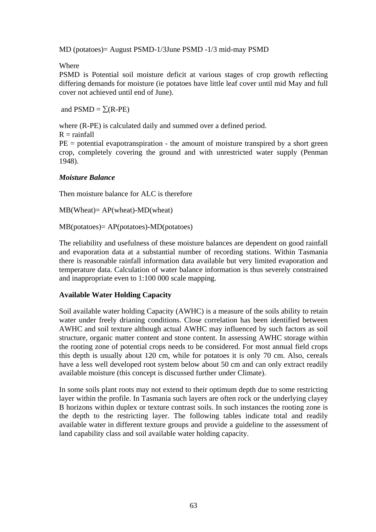MD (potatoes)= August PSMD-1/3June PSMD -1/3 mid-may PSMD

Where

PSMD is Potential soil moisture deficit at various stages of crop growth reflecting differing demands for moisture (ie potatoes have little leaf cover until mid May and full cover not achieved until end of June).

and  $PSMD = \Sigma(R-PE)$ 

where (R-PE) is calculated daily and summed over a defined period.

 $R =$ rainfall

 $PE =$  potential evapotranspiration - the amount of moisture transpired by a short green crop, completely covering the ground and with unrestricted water supply (Penman 1948).

#### *Moisture Balance*

Then moisture balance for ALC is therefore

MB(Wheat)= AP(wheat)-MD(wheat)

MB(potatoes)= AP(potatoes)-MD(potatoes)

The reliability and usefulness of these moisture balances are dependent on good rainfall and evaporation data at a substantial number of recording stations. Within Tasmania there is reasonable rainfall information data available but very limited evaporation and temperature data. Calculation of water balance information is thus severely constrained and inappropriate even to 1:100 000 scale mapping.

#### **Available Water Holding Capacity**

Soil available water holding Capacity (AWHC) is a measure of the soils ability to retain water under freely drianing conditions. Close correlation has been identified between AWHC and soil texture although actual AWHC may influenced by such factors as soil structure, organic matter content and stone content. In assessing AWHC storage within the rooting zone of potential crops needs to be considered. For most annual field crops this depth is usually about 120 cm, while for potatoes it is only 70 cm. Also, cereals have a less well developed root system below about 50 cm and can only extract readily available moisture (this concept is discussed further under Climate).

In some soils plant roots may not extend to their optimum depth due to some restricting layer within the profile. In Tasmania such layers are often rock or the underlying clayey B horizons within duplex or texture contrast soils. In such instances the rooting zone is the depth to the restricting layer. The following tables indicate total and readily available water in different texture groups and provide a guideline to the assessment of land capability class and soil available water holding capacity.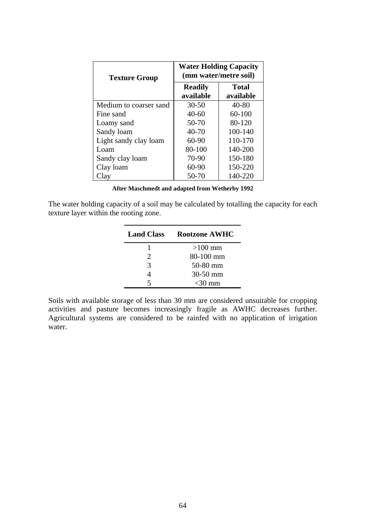| <b>Texture Group</b>   | <b>Water Holding Capacity</b><br>(mm water/metre soil) |                           |  |  |
|------------------------|--------------------------------------------------------|---------------------------|--|--|
|                        | <b>Readily</b><br>available                            | <b>Total</b><br>available |  |  |
| Medium to coarser sand | $30 - 50$                                              | $40 - 80$                 |  |  |
| Fine sand              | $40 - 60$                                              | 60-100                    |  |  |
| Loamy sand             | 50-70                                                  | 80-120                    |  |  |
| Sandy loam             | 40-70                                                  | 100-140                   |  |  |
| Light sandy clay loam  | $60-90$                                                | 110-170                   |  |  |
| Loam                   | 80-100                                                 | 140-200                   |  |  |
| Sandy clay loam        | 70-90                                                  | 150-180                   |  |  |
| Clay loam              | $60 - 90$                                              | 150-220                   |  |  |
| Clay                   | 50-70                                                  | 140-220                   |  |  |

|  | After Maschmedt and adapted from Wetherby 1992 |  |  |  |  |  |  |
|--|------------------------------------------------|--|--|--|--|--|--|
|--|------------------------------------------------|--|--|--|--|--|--|

The water holding capacity of a soil may be calculated by totalling the capacity for each texture layer within the rooting zone.

| <b>Land Class</b>           | <b>Rootzone AWHC</b> |
|-----------------------------|----------------------|
|                             | $>100$ mm            |
| $\mathcal{D}_{\mathcal{L}}$ | 80-100 mm            |
| 3                           | 50-80 mm             |
| 4                           | 30-50 mm             |
| 5                           | $<$ 30 mm            |

Soils with available storage of less than 30 mm are considered unsuitable for cropping activities and pasture becomes increasingly fragile as AWHC decreases further. Agricultural systems are considered to be rainfed with no application of irrigation water.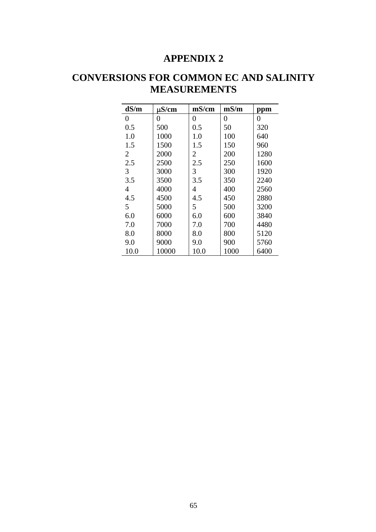## **APPENDIX 2**

# **CONVERSIONS FOR COMMON EC AND SALINITY MEASUREMENTS**

| dS/m | $\mu$ S/cm | mS/cm | mS/m | ppm  |
|------|------------|-------|------|------|
| 0    | 0          | 0     | 0    | 0    |
| 0.5  | 500        | 0.5   | 50   | 320  |
| 1.0  | 1000       | 1.0   | 100  | 640  |
| 1.5  | 1500       | 1.5   | 150  | 960  |
| 2    | 2000       | 2     | 200  | 1280 |
| 2.5  | 2500       | 2.5   | 250  | 1600 |
| 3    | 3000       | 3     | 300  | 1920 |
| 3.5  | 3500       | 3.5   | 350  | 2240 |
| 4    | 4000       | 4     | 400  | 2560 |
| 4.5  | 4500       | 4.5   | 450  | 2880 |
| 5    | 5000       | 5     | 500  | 3200 |
| 6.0  | 6000       | 6.0   | 600  | 3840 |
| 7.0  | 7000       | 7.0   | 700  | 4480 |
| 8.0  | 8000       | 8.0   | 800  | 5120 |
| 9.0  | 9000       | 9.0   | 900  | 5760 |
| 10.0 | 10000      | 10.0  | 1000 | 6400 |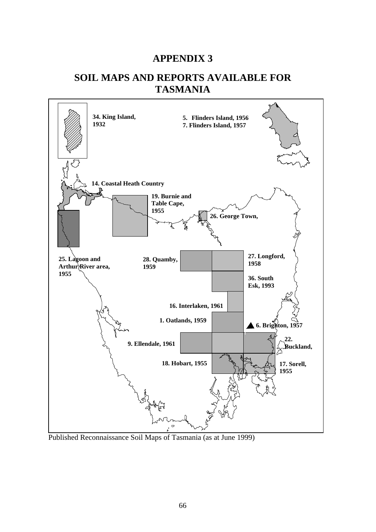## **APPENDIX 3**

## **SOIL MAPS AND REPORTS AVAILABLE FOR TASMANIA**



Published Reconnaissance Soil Maps of Tasmania (as at June 1999)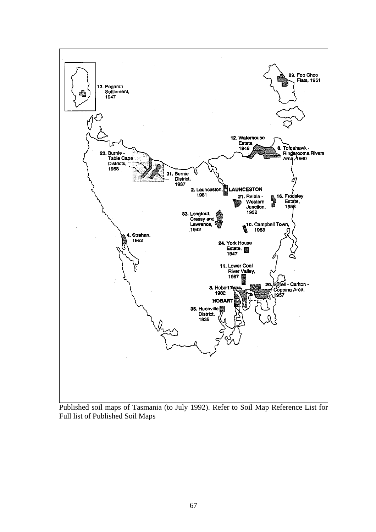

Published soil maps of Tasmania (to July 1992). Refer to Soil Map Reference List for Full list of Published Soil Maps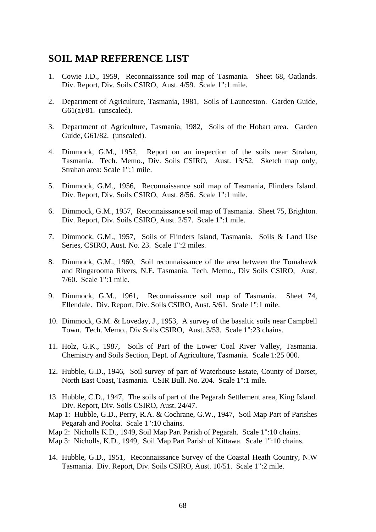## **SOIL MAP REFERENCE LIST**

- 1. Cowie J.D., 1959, Reconnaissance soil map of Tasmania. Sheet 68, Oatlands. Div. Report, Div. Soils CSIRO, Aust. 4/59. Scale 1":1 mile.
- 2. Department of Agriculture, Tasmania, 1981, Soils of Launceston. Garden Guide, G61(a)/81. (unscaled).
- 3. Department of Agriculture, Tasmania, 1982, Soils of the Hobart area. Garden Guide, G61/82. (unscaled).
- 4. Dimmock, G.M., 1952, Report on an inspection of the soils near Strahan, Tasmania. Tech. Memo., Div. Soils CSIRO, Aust. 13/52. Sketch map only, Strahan area: Scale 1":1 mile.
- 5. Dimmock, G.M., 1956, Reconnaissance soil map of Tasmania, Flinders Island. Div. Report, Div. Soils CSIRO, Aust. 8/56. Scale 1":1 mile.
- 6. Dimmock, G.M., 1957, Reconnaissance soil map of Tasmania. Sheet 75, Brighton. Div. Report, Div. Soils CSIRO, Aust. 2/57. Scale 1":1 mile.
- 7. Dimmock, G.M., 1957, Soils of Flinders Island, Tasmania. Soils & Land Use Series, CSIRO, Aust. No. 23. Scale 1":2 miles.
- 8. Dimmock, G.M., 1960, Soil reconnaissance of the area between the Tomahawk and Ringarooma Rivers, N.E. Tasmania. Tech. Memo., Div Soils CSIRO, Aust. 7/60. Scale 1":1 mile.
- 9. Dimmock, G.M., 1961, Reconnaissance soil map of Tasmania. Sheet 74, Ellendale. Div. Report, Div. Soils CSIRO, Aust. 5/61. Scale 1":1 mile.
- 10. Dimmock, G.M. & Loveday, J., 1953, A survey of the basaltic soils near Campbell Town. Tech. Memo., Div Soils CSIRO, Aust. 3/53. Scale 1":23 chains.
- 11. Holz, G.K., 1987, Soils of Part of the Lower Coal River Valley, Tasmania. Chemistry and Soils Section, Dept. of Agriculture, Tasmania. Scale 1:25 000.
- 12. Hubble, G.D., 1946, Soil survey of part of Waterhouse Estate, County of Dorset, North East Coast, Tasmania. CSIR Bull. No. 204. Scale 1":1 mile.
- 13. Hubble, C.D., 1947, The soils of part of the Pegarah Settlement area, King Island. Div. Report, Div. Soils CSIRO, Aust. 24/47.
- Map 1: Hubble, G.D., Perry, R.A. & Cochrane, G.W., 1947, Soil Map Part of Parishes Pegarah and Poolta. Scale 1":10 chains.
- Map 2: Nicholls K.D., 1949, Soil Map Part Parish of Pegarah. Scale 1":10 chains.
- Map 3: Nicholls, K.D., 1949, Soil Map Part Parish of Kittawa. Scale 1":10 chains.
- 14. Hubble, G.D., 1951, Reconnaissance Survey of the Coastal Heath Country, N.W Tasmania. Div. Report, Div. Soils CSIRO, Aust. 10/51. Scale 1":2 mile.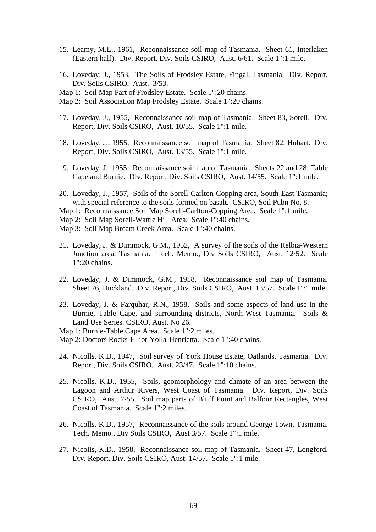- 15. Leamy, M.L., 1961, Reconnaissance soil map of Tasmania. Sheet 61, Interlaken (Eastern half). Div. Report, Div. Soils CSIRO, Aust. 6/61. Scale 1":1 mile.
- 16. Loveday, J., 1953, The Soils of Frodsley Estate, Fingal, Tasmania. Div. Report, Div. Soils CSIRO, Aust. 3/53.
- Map 1: Soil Map Part of Frodsley Estate. Scale 1":20 chains.
- Map 2: Soil Association Map Frodsley Estate. Scale 1":20 chains.
- 17. Loveday, J., 1955, Reconnaissance soil map of Tasmania. Sheet 83, Sorell. Div. Report, Div. Soils CSIRO, Aust. 10/55. Scale 1":1 mile.
- 18. Loveday, J., 1955, Reconnaissance soil map of Tasmania. Sheet 82, Hobart. Div. Report, Div. Soils CSIRO, Aust. 13/55. Scale 1":1 mile.
- 19. Loveday, J., 1955, Reconnaissance soil map of Tasmania. Sheets 22 and 28, Table Cape and Burnie. Div. Report, Div. Soils CSIRO, Aust. 14/55. Scale 1":1 mile.
- 20. Loveday, J., 1957, Soils of the Sorell-Carlton-Copping area, South-East Tasmania; with special reference to the soils formed on basalt. CSIRO, Soil Pubn No. 8.
- Map 1: Reconnaissance Soil Map Sorell-Carlton-Copping Area. Scale 1":1 mile.
- Map 2: Soil Map Sorell-Wattle Hill Area. Scale 1":40 chains.
- Map 3: Soil Map Bream Creek Area. Scale 1":40 chains.
- 21. Loveday, J. & Dimmock, G.M., 1952, A survey of the soils of the Relbia-Western Junction area, Tasmania. Tech. Memo., Div Soils CSIRO, Aust. 12/52. Scale 1":20 chains.
- 22. Loveday, J. & Dimmock, G.M., 1958, Reconnaissance soil map of Tasmania. Sheet 76, Buckland. Div. Report, Div. Soils CSIRO, Aust. 13/57. Scale 1":1 mile.
- 23. Loveday, J. & Farquhar, R.N., 1958, Soils and some aspects of land use in the Burnie, Table Cape, and surrounding districts, North-West Tasmania. Soils & Land Use Series. CSIRO, Aust. No 26.
- Map 1: Burnie-Table Cape Area. Scale 1":2 miles.
- Map 2: Doctors Rocks-Elliot-Yolla-Henrietta. Scale 1":40 chains.
- 24. Nicolls, K.D., 1947, Soil survey of York House Estate, Oatlands, Tasmania. Div. Report, Div. Soils CSIRO, Aust. 23/47. Scale 1":10 chains.
- 25. Nicolls, K.D., 1955, Soils, geomorphology and climate of an area between the Lagoon and Arthur Rivers, West Coast of Tasmania. Div. Report, Div. Soils CSIRO, Aust. 7/55. Soil map parts of Bluff Point and Balfour Rectangles, West Coast of Tasmania. Scale 1":2 miles.
- 26. Nicolls, K.D., 1957, Reconnaissance of the soils around George Town, Tasmania. Tech. Memo., Div Soils CSIRO, Aust 3/57. Scale 1":1 mile.
- 27. Nicolls, K.D., 1958, Reconnaissance soil map of Tasmania. Sheet 47, Longford. Div. Report, Div. Soils CSIRO, Aust. 14/57. Scale 1":1 mile.